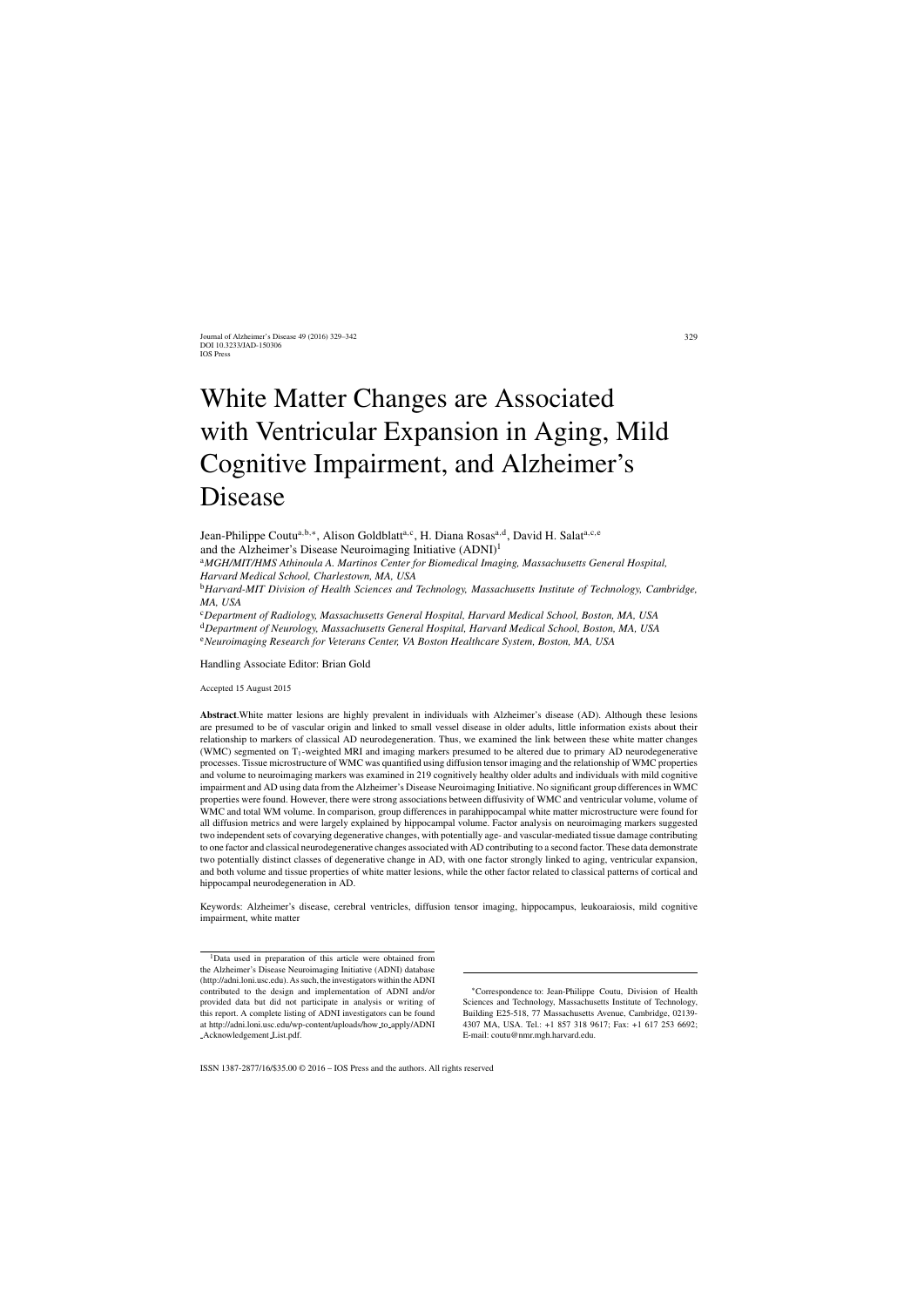# White Matter Changes are Associated with Ventricular Expansion in Aging, Mild Cognitive Impairment, and Alzheimer's Disease

Jean-Philippe Coutu<sup>a, b,∗</sup>, Alison Goldblatt<sup>a, c</sup>, H. Diana Rosas<sup>a, d</sup>, David H. Salat<sup>a, c, e</sup> and the Alzheimer's Disease Neuroimaging Initiative (ADNI)<sup>1</sup>

<sup>a</sup>*MGH/MIT/HMS Athinoula A. Martinos Center for Biomedical Imaging, Massachusetts General Hospital, Harvard Medical School, Charlestown, MA, USA*

<sup>b</sup>*Harvard-MIT Division of Health Sciences and Technology, Massachusetts Institute of Technology, Cambridge, MA, USA*

<sup>c</sup>*Department of Radiology, Massachusetts General Hospital, Harvard Medical School, Boston, MA, USA*

<sup>d</sup>*Department of Neurology, Massachusetts General Hospital, Harvard Medical School, Boston, MA, USA*

<sup>e</sup>*Neuroimaging Research for Veterans Center, VA Boston Healthcare System, Boston, MA, USA*

Handling Associate Editor: Brian Gold

Accepted 15 August 2015

**Abstract**.White matter lesions are highly prevalent in individuals with Alzheimer's disease (AD). Although these lesions are presumed to be of vascular origin and linked to small vessel disease in older adults, little information exists about their relationship to markers of classical AD neurodegeneration. Thus, we examined the link between these white matter changes (WMC) segmented on T1-weighted MRI and imaging markers presumed to be altered due to primary AD neurodegenerative processes. Tissue microstructure of WMC was quantified using diffusion tensor imaging and the relationship of WMC properties and volume to neuroimaging markers was examined in 219 cognitively healthy older adults and individuals with mild cognitive impairment and AD using data from the Alzheimer's Disease Neuroimaging Initiative. No significant group differences in WMC properties were found. However, there were strong associations between diffusivity of WMC and ventricular volume, volume of WMC and total WM volume. In comparison, group differences in parahippocampal white matter microstructure were found for all diffusion metrics and were largely explained by hippocampal volume. Factor analysis on neuroimaging markers suggested two independent sets of covarying degenerative changes, with potentially age- and vascular-mediated tissue damage contributing to one factor and classical neurodegenerative changes associated with AD contributing to a second factor. These data demonstrate two potentially distinct classes of degenerative change in AD, with one factor strongly linked to aging, ventricular expansion, and both volume and tissue properties of white matter lesions, while the other factor related to classical patterns of cortical and hippocampal neurodegeneration in AD.

Keywords: Alzheimer's disease, cerebral ventricles, diffusion tensor imaging, hippocampus, leukoaraiosis, mild cognitive impairment, white matter

∗Correspondence to: Jean-Philippe Coutu, Division of Health Sciences and Technology, Massachusetts Institute of Technology, Building E25-518, 77 Massachusetts Avenue, Cambridge, 02139- 4307 MA, USA. Tel.: +1 857 318 9617; Fax: +1 617 253 6692; E-mail: [coutu@nmr.mgh.harvard.edu](mailto:coutu@nmr.mgh.harvard.edu).

<sup>1</sup>Data used in preparation of this article were obtained from the Alzheimer's Disease Neuroimaging Initiative (ADNI) database [\(http://adni.loni.usc.edu\)](http://adni.loni.usc.edu). As such, the investigators within the ADNI contributed to the design and implementation of ADNI and/or provided data but did not participate in analysis or writing of this report. A complete listing of ADNI investigators can be found at [http://adni.loni.usc.edu/wp-content/uploads/how](http://adni.loni.usc.edu/wp-content/uploads/how_to_apply/ADNI_Acknowledgement_List.pdf) to apply/ADNI [Acknowledgement](http://adni.loni.usc.edu/wp-content/uploads/how_to_apply/ADNI_Acknowledgement_List.pdf) List.pdf.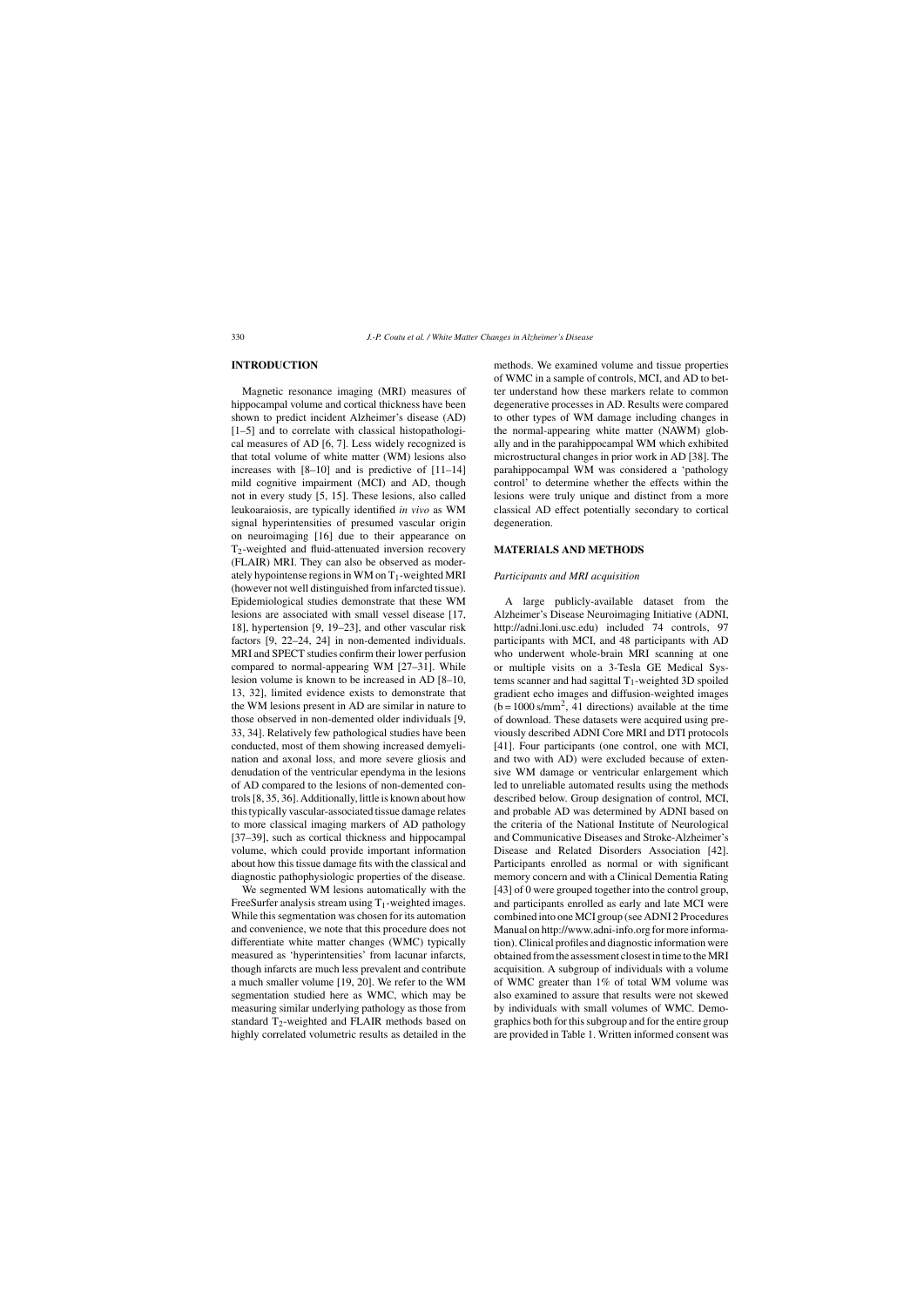# **INTRODUCTION**

Magnetic resonance imaging (MRI) measures of hippocampal volume and cortical thickness have been shown to predict incident Alzheimer's disease (AD) [1–5] and to correlate with classical histopathological measures of AD [6, 7]. Less widely recognized is that total volume of white matter (WM) lesions also increases with [8–10] and is predictive of [11–14] mild cognitive impairment (MCI) and AD, though not in every study [5, 15]. These lesions, also called leukoaraiosis, are typically identified *in vivo* as WM signal hyperintensities of presumed vascular origin on neuroimaging [16] due to their appearance on  $T<sub>2</sub>$ -weighted and fluid-attenuated inversion recovery (FLAIR) MRI. They can also be observed as moderately hypointense regions in WM on  $T_1$ -weighted MRI (however not well distinguished from infarcted tissue). Epidemiological studies demonstrate that these WM lesions are associated with small vessel disease [17, 18], hypertension [9, 19–23], and other vascular risk factors [9, 22–24, 24] in non-demented individuals. MRI and SPECT studies confirm their lower perfusion compared to normal-appearing WM [27–31]. While lesion volume is known to be increased in AD [8–10, 13, 32], limited evidence exists to demonstrate that the WM lesions present in AD are similar in nature to those observed in non-demented older individuals [9, 33, 34]. Relatively few pathological studies have been conducted, most of them showing increased demyelination and axonal loss, and more severe gliosis and denudation of the ventricular ependyma in the lesions of AD compared to the lesions of non-demented controls [8, 35, 36]. Additionally, little is known about how this typically vascular-associated tissue damage relates to more classical imaging markers of AD pathology [37–39], such as cortical thickness and hippocampal volume, which could provide important information about how this tissue damage fits with the classical and diagnostic pathophysiologic properties of the disease.

We segmented WM lesions automatically with the FreeSurfer analysis stream using  $T_1$ -weighted images. While this segmentation was chosen for its automation and convenience, we note that this procedure does not differentiate white matter changes (WMC) typically measured as 'hyperintensities' from lacunar infarcts, though infarcts are much less prevalent and contribute a much smaller volume [19, 20]. We refer to the WM segmentation studied here as WMC, which may be measuring similar underlying pathology as those from standard  $T_2$ -weighted and FLAIR methods based on highly correlated volumetric results as detailed in the methods. We examined volume and tissue properties of WMC in a sample of controls, MCI, and AD to better understand how these markers relate to common degenerative processes in AD. Results were compared to other types of WM damage including changes in the normal-appearing white matter (NAWM) globally and in the parahippocampal WM which exhibited microstructural changes in prior work in AD [38]. The parahippocampal WM was considered a 'pathology control' to determine whether the effects within the lesions were truly unique and distinct from a more classical AD effect potentially secondary to cortical degeneration.

### **MATERIALS AND METHODS**

#### *Participants and MRI acquisition*

A large publicly-available dataset from the Alzheimer's Disease Neuroimaging Initiative (ADNI, <http://adni.loni.usc.edu>) included 74 controls, 97 participants with MCI, and 48 participants with AD who underwent whole-brain MRI scanning at one or multiple visits on a 3-Tesla GE Medical Systems scanner and had sagittal  $T_1$ -weighted 3D spoiled gradient echo images and diffusion-weighted images  $(b = 1000 \text{ s/mm}^2$ , 41 directions) available at the time of download. These datasets were acquired using previously described ADNI Core MRI and DTI protocols [41]. Four participants (one control, one with MCI, and two with AD) were excluded because of extensive WM damage or ventricular enlargement which led to unreliable automated results using the methods described below. Group designation of control, MCI, and probable AD was determined by ADNI based on the criteria of the National Institute of Neurological and Communicative Diseases and Stroke-Alzheimer's Disease and Related Disorders Association [42]. Participants enrolled as normal or with significant memory concern and with a Clinical Dementia Rating [43] of 0 were grouped together into the control group, and participants enrolled as early and late MCI were combined into one MCI group (see ADNI 2 Procedures Manual on<http://www.adni-info.org> for more information). Clinical profiles and diagnostic information were obtained from the assessment closest in time to the MRI acquisition. A subgroup of individuals with a volume of WMC greater than 1% of total WM volume was also examined to assure that results were not skewed by individuals with small volumes of WMC. Demographics both for this subgroup and for the entire group are provided in Table 1. Written informed consent was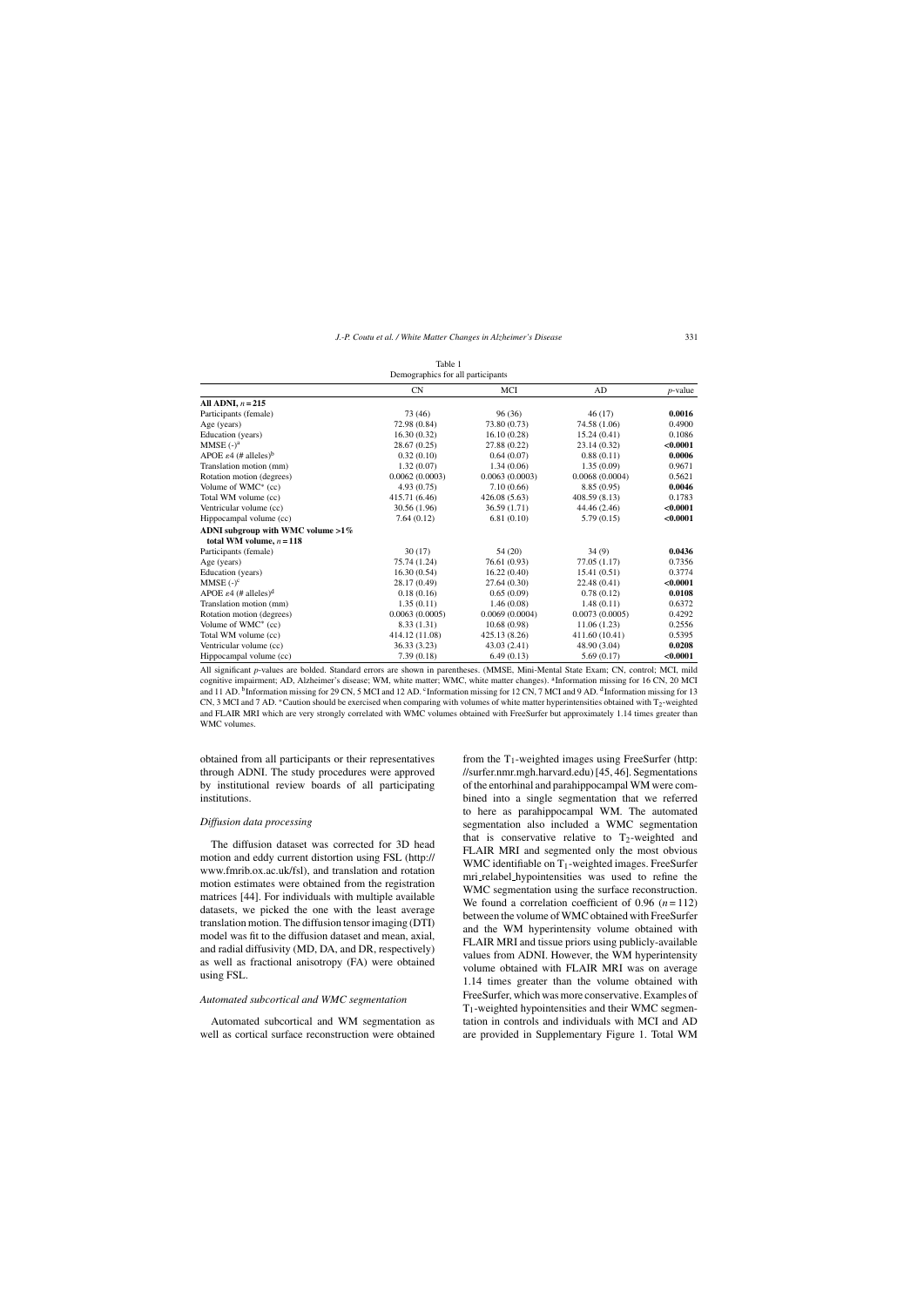Table 1

| Demographics for all participants             |                |                |                |            |  |
|-----------------------------------------------|----------------|----------------|----------------|------------|--|
|                                               | CN             | <b>MCI</b>     | AD             | $p$ -value |  |
| All ADNI, $n = 215$                           |                |                |                |            |  |
| Participants (female)                         | 73 (46)        | 96 (36)        | 46(17)         | 0.0016     |  |
| Age (years)                                   | 72.98 (0.84)   | 73.80 (0.73)   | 74.58 (1.06)   | 0.4900     |  |
| Education (years)                             | 16.30(0.32)    | 16.10(0.28)    | 15.24(0.41)    | 0.1086     |  |
| $MMSE(-)^a$                                   | 28.67 (0.25)   | 27.88 (0.22)   | 23.14 (0.32)   | < 0.0001   |  |
| APOE $\varepsilon$ 4 (# alleles) <sup>b</sup> | 0.32(0.10)     | 0.64(0.07)     | 0.88(0.11)     | 0.0006     |  |
| Translation motion (mm)                       | 1.32(0.07)     | 1.34(0.06)     | 1.35(0.09)     | 0.9671     |  |
| Rotation motion (degrees)                     | 0.0062(0.0003) | 0.0063(0.0003) | 0.0068(0.0004) | 0.5621     |  |
| Volume of WMC <sup>*</sup> (cc)               | 4.93(0.75)     | 7.10(0.66)     | 8.85(0.95)     | 0.0046     |  |
| Total WM volume (cc)                          | 415.71 (6.46)  | 426.08 (5.63)  | 408.59 (8.13)  | 0.1783     |  |
| Ventricular volume (cc)                       | 30.56 (1.96)   | 36.59 (1.71)   | 44.46 (2.46)   | < 0.0001   |  |
| Hippocampal volume (cc)                       | 7.64(0.12)     | 6.81(0.10)     | 5.79(0.15)     | < 0.0001   |  |
| ADNI subgroup with WMC volume $>1\%$          |                |                |                |            |  |
| total WM volume, $n = 118$                    |                |                |                |            |  |
| Participants (female)                         | 30(17)         | 54 (20)        | 34(9)          | 0.0436     |  |
| Age (years)                                   | 75.74 (1.24)   | 76.61 (0.93)   | 77.05 (1.17)   | 0.7356     |  |
| Education (years)                             | 16.30(0.54)    | 16.22(0.40)    | 15.41(0.51)    | 0.3774     |  |
| $MMSE(-)^c$                                   | 28.17 (0.49)   | 27.64 (0.30)   | 22.48 (0.41)   | < 0.0001   |  |
| APOE $\varepsilon$ 4 (# alleles) <sup>d</sup> | 0.18(0.16)     | 0.65(0.09)     | 0.78(0.12)     | 0.0108     |  |
| Translation motion (mm)                       | 1.35(0.11)     | 1.46(0.08)     | 1.48(0.11)     | 0.6372     |  |
| Rotation motion (degrees)                     | 0.0063(0.0005) | 0.0069(0.0004) | 0.0073(0.0005) | 0.4292     |  |
| Volume of WMC <sup>*</sup> (cc)               | 8.33(1.31)     | 10.68(0.98)    | 11.06(1.23)    | 0.2556     |  |
| Total WM volume (cc)                          | 414.12 (11.08) | 425.13 (8.26)  | 411.60 (10.41) | 0.5395     |  |
| Ventricular volume (cc)                       | 36.33 (3.23)   | 43.03 (2.41)   | 48.90 (3.04)   | 0.0208     |  |
| Hippocampal volume (cc)                       | 7.39(0.18)     | 6.49(0.13)     | 5.69(0.17)     | < 0.0001   |  |

All significant *p*-values are bolded. Standard errors are shown in parentheses. (MMSE, Mini-Mental State Exam; CN, control; MCI, mild cognitive impairment; AD, Alzheimer's disease; WM, white matter; WMC, white matter changes). <sup>a</sup>Information missing for 16 CN, 20 MCI and 11 AD. <sup>b</sup>Information missing for 29 CN, 5 MCI and 12 AD. <sup>c</sup>Information missing for 12 CN, 7 MCI and 9 AD. <sup>d</sup>Information missing for 13 CN, 3 MCI and 7 AD. \*Caution should be exercised when comparing with volumes of white matter hyperintensities obtained with  $T_2$ -weighted and FLAIR MRI which are very strongly correlated with WMC volumes obtained with FreeSurfer but approximately 1.14 times greater than WMC volumes.

obtained from all participants or their representatives through ADNI. The study procedures were approved by institutional review boards of all participating institutions.

#### *Diffusion data processing*

The diffusion dataset was corrected for 3D head motion and eddy current distortion using FSL ([http://](http://www.fmrib.ox.ac.uk/fsl) [www.fmrib.ox.ac.uk/fsl\)](http://www.fmrib.ox.ac.uk/fsl), and translation and rotation motion estimates were obtained from the registration matrices [44]. For individuals with multiple available datasets, we picked the one with the least average translation motion. The diffusion tensor imaging (DTI) model was fit to the diffusion dataset and mean, axial, and radial diffusivity (MD, DA, and DR, respectively) as well as fractional anisotropy (FA) were obtained using FSL.

#### *Automated subcortical and WMC segmentation*

Automated subcortical and WM segmentation as well as cortical surface reconstruction were obtained from the  $T_1$ -weighted images using FreeSurfer ([http:](http://surfer.nmr.mgh.harvard.edu) [//surfer.nmr.mgh.harvard.edu](http://surfer.nmr.mgh.harvard.edu)) [45, 46]. Segmentations of the entorhinal and parahippocampal WM were combined into a single segmentation that we referred to here as parahippocampal WM. The automated segmentation also included a WMC segmentation that is conservative relative to  $T_2$ -weighted and FLAIR MRI and segmented only the most obvious WMC identifiable on  $T_1$ -weighted images. FreeSurfer mri relabel hypointensities was used to refine the WMC segmentation using the surface reconstruction. We found a correlation coefficient of 0.96  $(n=112)$ between the volume of WMC obtained with FreeSurfer and the WM hyperintensity volume obtained with FLAIR MRI and tissue priors using publicly-available values from ADNI. However, the WM hyperintensity volume obtained with FLAIR MRI was on average 1.14 times greater than the volume obtained with FreeSurfer, which was more conservative. Examples of  $T_1$ -weighted hypointensities and their WMC segmentation in controls and individuals with MCI and AD are provided in Supplementary Figure 1. Total WM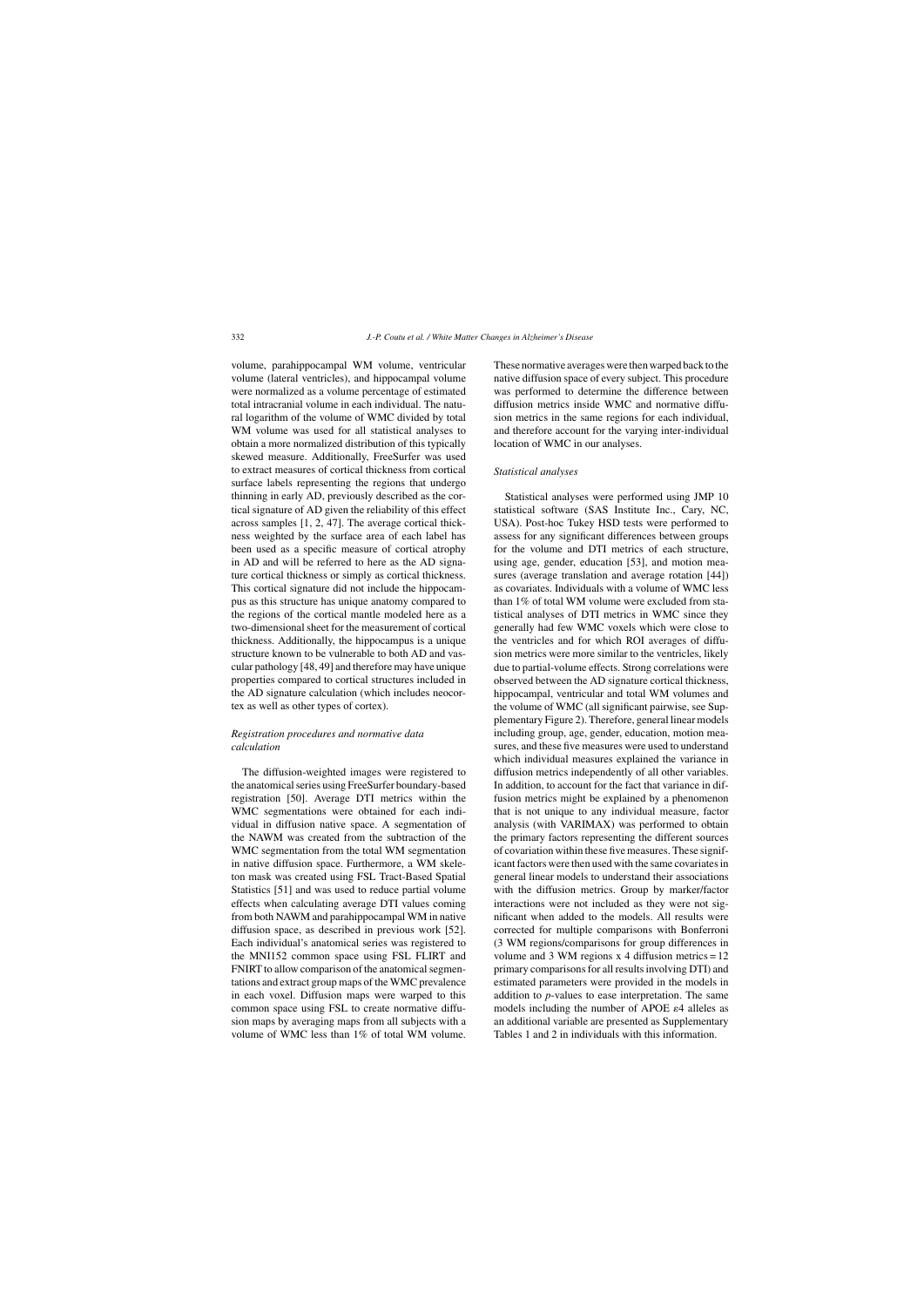volume, parahippocampal WM volume, ventricular volume (lateral ventricles), and hippocampal volume were normalized as a volume percentage of estimated total intracranial volume in each individual. The natural logarithm of the volume of WMC divided by total WM volume was used for all statistical analyses to obtain a more normalized distribution of this typically skewed measure. Additionally, FreeSurfer was used to extract measures of cortical thickness from cortical surface labels representing the regions that undergo thinning in early AD, previously described as the cortical signature of AD given the reliability of this effect across samples [1, 2, 47]. The average cortical thickness weighted by the surface area of each label has been used as a specific measure of cortical atrophy in AD and will be referred to here as the AD signature cortical thickness or simply as cortical thickness. This cortical signature did not include the hippocampus as this structure has unique anatomy compared to the regions of the cortical mantle modeled here as a two-dimensional sheet for the measurement of cortical thickness. Additionally, the hippocampus is a unique structure known to be vulnerable to both AD and vascular pathology [48, 49] and therefore may have unique properties compared to cortical structures included in the AD signature calculation (which includes neocortex as well as other types of cortex).

## *Registration procedures and normative data calculation*

The diffusion-weighted images were registered to the anatomical series using FreeSurfer boundary-based registration [50]. Average DTI metrics within the WMC segmentations were obtained for each individual in diffusion native space. A segmentation of the NAWM was created from the subtraction of the WMC segmentation from the total WM segmentation in native diffusion space. Furthermore, a WM skeleton mask was created using FSL Tract-Based Spatial Statistics [51] and was used to reduce partial volume effects when calculating average DTI values coming from both NAWM and parahippocampal WM in native diffusion space, as described in previous work [52]. Each individual's anatomical series was registered to the MNI152 common space using FSL FLIRT and FNIRT to allow comparison of the anatomical segmentations and extract group maps of the WMC prevalence in each voxel. Diffusion maps were warped to this common space using FSL to create normative diffusion maps by averaging maps from all subjects with a volume of WMC less than 1% of total WM volume.

These normative averages were then warped back to the native diffusion space of every subject. This procedure was performed to determine the difference between diffusion metrics inside WMC and normative diffusion metrics in the same regions for each individual, and therefore account for the varying inter-individual location of WMC in our analyses.

#### *Statistical analyses*

Statistical analyses were performed using JMP 10 statistical software (SAS Institute Inc., Cary, NC, USA). Post-hoc Tukey HSD tests were performed to assess for any significant differences between groups for the volume and DTI metrics of each structure, using age, gender, education [53], and motion measures (average translation and average rotation [44]) as covariates. Individuals with a volume of WMC less than 1% of total WM volume were excluded from statistical analyses of DTI metrics in WMC since they generally had few WMC voxels which were close to the ventricles and for which ROI averages of diffusion metrics were more similar to the ventricles, likely due to partial-volume effects. Strong correlations were observed between the AD signature cortical thickness, hippocampal, ventricular and total WM volumes and the volume of WMC (all significant pairwise, see Supplementary Figure 2). Therefore, general linear models including group, age, gender, education, motion measures, and these five measures were used to understand which individual measures explained the variance in diffusion metrics independently of all other variables. In addition, to account for the fact that variance in diffusion metrics might be explained by a phenomenon that is not unique to any individual measure, factor analysis (with VARIMAX) was performed to obtain the primary factors representing the different sources of covariation within these five measures. These significant factors were then used with the same covariates in general linear models to understand their associations with the diffusion metrics. Group by marker/factor interactions were not included as they were not significant when added to the models. All results were corrected for multiple comparisons with Bonferroni (3 WM regions/comparisons for group differences in volume and 3 WM regions  $x$  4 diffusion metrics = 12 primary comparisons for all results involving DTI) and estimated parameters were provided in the models in addition to *p*-values to ease interpretation. The same models including the number of APOE  $\varepsilon$ 4 alleles as an additional variable are presented as Supplementary Tables 1 and 2 in individuals with this information.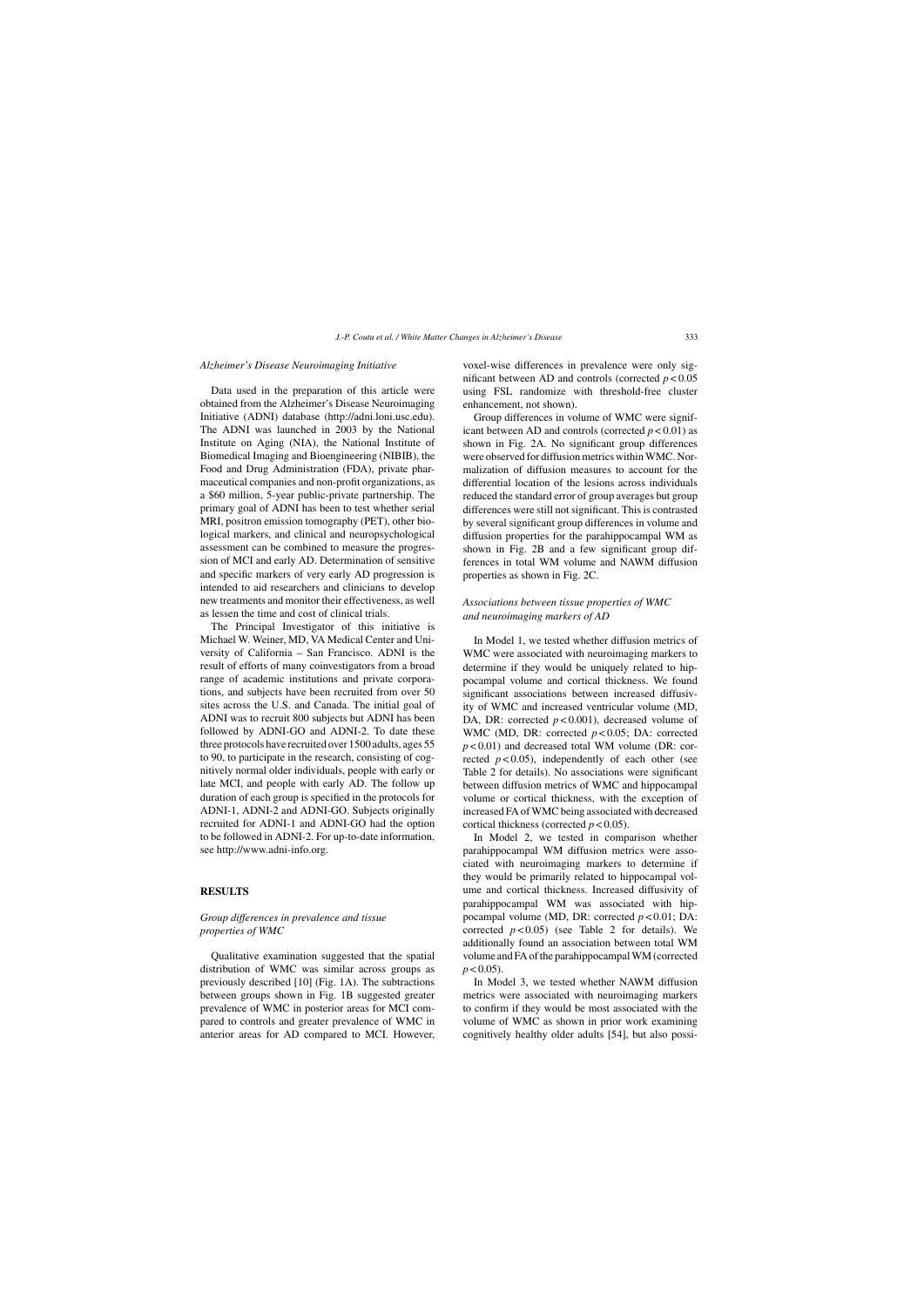#### *Alzheimer's Disease Neuroimaging Initiative*

Data used in the preparation of this article were obtained from the Alzheimer's Disease Neuroimaging Initiative (ADNI) database [\(http://adni.loni.usc.edu\)](http://adni.loni.usc.edu). The ADNI was launched in 2003 by the National Institute on Aging (NIA), the National Institute of Biomedical Imaging and Bioengineering (NIBIB), the Food and Drug Administration (FDA), private pharmaceutical companies and non-profit organizations, as a \$60 million, 5-year public-private partnership. The primary goal of ADNI has been to test whether serial MRI, positron emission tomography (PET), other biological markers, and clinical and neuropsychological assessment can be combined to measure the progression of MCI and early AD. Determination of sensitive and specific markers of very early AD progression is intended to aid researchers and clinicians to develop new treatments and monitor their effectiveness, as well as lessen the time and cost of clinical trials.

The Principal Investigator of this initiative is Michael W. Weiner, MD, VA Medical Center and University of California – San Francisco. ADNI is the result of efforts of many coinvestigators from a broad range of academic institutions and private corporations, and subjects have been recruited from over 50 sites across the U.S. and Canada. The initial goal of ADNI was to recruit 800 subjects but ADNI has been followed by ADNI-GO and ADNI-2. To date these three protocols have recruited over 1500 adults, ages 55 to 90, to participate in the research, consisting of cognitively normal older individuals, people with early or late MCI, and people with early AD. The follow up duration of each group is specified in the protocols for ADNI-1, ADNI-2 and ADNI-GO. Subjects originally recruited for ADNI-1 and ADNI-GO had the option to be followed in ADNI-2. For up-to-date information, see<http://www.adni-info.org>.

### **RESULTS**

### *Group differences in prevalence and tissue properties of WMC*

Qualitative examination suggested that the spatial distribution of WMC was similar across groups as previously described [10] (Fig. 1A). The subtractions between groups shown in Fig. 1B suggested greater prevalence of WMC in posterior areas for MCI compared to controls and greater prevalence of WMC in anterior areas for AD compared to MCI. However, voxel-wise differences in prevalence were only significant between AD and controls (corrected  $p < 0.05$ ) using FSL randomize with threshold-free cluster enhancement, not shown).

Group differences in volume of WMC were significant between AD and controls (corrected  $p < 0.01$ ) as shown in Fig. 2A. No significant group differences were observed for diffusion metrics within WMC. Normalization of diffusion measures to account for the differential location of the lesions across individuals reduced the standard error of group averages but group differences were still not significant. This is contrasted by several significant group differences in volume and diffusion properties for the parahippocampal WM as shown in Fig. 2B and a few significant group differences in total WM volume and NAWM diffusion properties as shown in Fig. 2C.

# *Associations between tissue properties of WMC and neuroimaging markers of AD*

In Model 1, we tested whether diffusion metrics of WMC were associated with neuroimaging markers to determine if they would be uniquely related to hippocampal volume and cortical thickness. We found significant associations between increased diffusivity of WMC and increased ventricular volume (MD, DA, DR: corrected  $p < 0.001$ ), decreased volume of WMC (MD, DR: corrected *p* < 0.05; DA: corrected *p* < 0.01) and decreased total WM volume (DR: corrected  $p < 0.05$ ), independently of each other (see Table 2 for details). No associations were significant between diffusion metrics of WMC and hippocampal volume or cortical thickness, with the exception of increased FA of WMC being associated with decreased cortical thickness (corrected *p* < 0.05).

In Model 2, we tested in comparison whether parahippocampal WM diffusion metrics were associated with neuroimaging markers to determine if they would be primarily related to hippocampal volume and cortical thickness. Increased diffusivity of parahippocampal WM was associated with hippocampal volume (MD, DR: corrected *p* < 0.01; DA: corrected  $p < 0.05$ ) (see Table 2 for details). We additionally found an association between total WM volume and FA of the parahippocampal WM (corrected  $p < 0.05$ ).

In Model 3, we tested whether NAWM diffusion metrics were associated with neuroimaging markers to confirm if they would be most associated with the volume of WMC as shown in prior work examining cognitively healthy older adults [54], but also possi-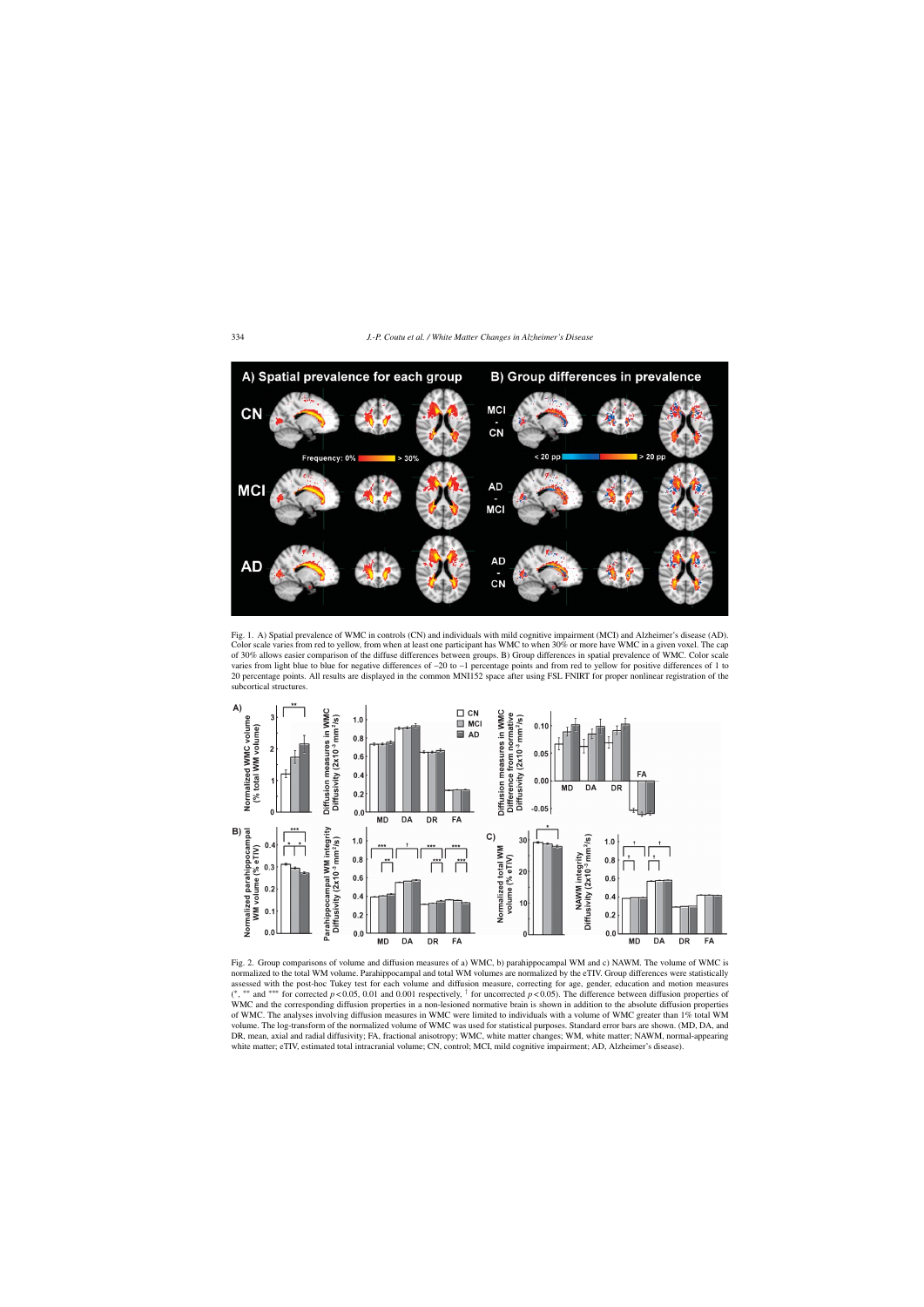

Fig. 1. A) Spatial prevalence of WMC in controls (CN) and individuals with mild cognitive impairment (MCI) and Alzheimer's disease (AD). Color scale varies from red to yellow, from when at least one participant has WMC to when 30% or more have WMC in a given voxel. The cap of 30% allows easier comparison of the diffuse differences between groups. B) Group differences in spatial prevalence of WMC. Color scale varies from light blue to blue for negative differences of –20 to –1 percentage points and from red to yellow for positive differences of 1 to 20 percentage points. All results are displayed in the common MNI152 space after using FSL FNIRT for proper nonlinear registration of the subcortical structures.



Fig. 2. Group comparisons of volume and diffusion measures of a) WMC, b) parahippocampal WM and c) NAWM. The volume of WMC is normalized to the total WM volume. Parahippocampal and total WM volumes are normalized by the eTIV. Group differences were statistically assessed with the post-hoc Tukey test for each volume and diffusion measure, correcting for age, gender, education and motion measures ( ∗, ∗∗ and ∗∗∗ for corrected *p* < 0.05, 0.01 and 0.001 respectively, † for uncorrected *p* < 0.05). The difference between diffusion properties of WMC and the corresponding diffusion properties in a non-lesioned normative brain is shown in addition to the absolute diffusion properties of WMC. The analyses involving diffusion measures in WMC were limited to individuals with a volume of WMC greater than 1% total WM volume. The log-transform of the normalized volume of WMC was used for statistical purposes. Standard error bars are shown. (MD, DA, and DR, mean, axial and radial diffusivity; FA, fractional anisotropy; WMC, white matter changes; WM, white matter; NAWM, normal-appearing white matter; eTIV, estimated total intracranial volume; CN, control; MCI, mild cognitive impairment; AD, Alzheimer's disease).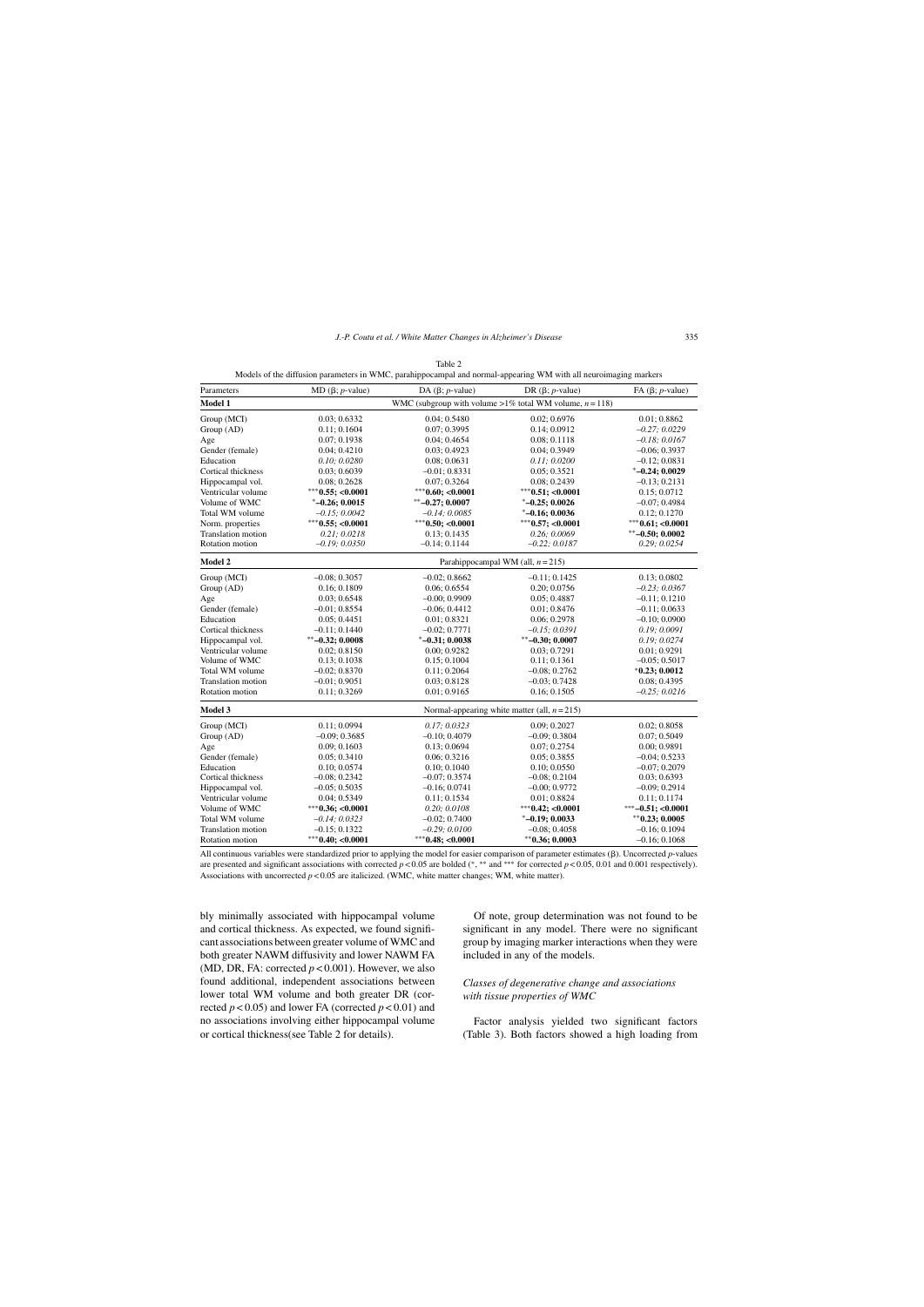Table 2

| Models of the diffusion parameters in WMC, parahippocampal and normal-appearing WM with all neuroimaging markers |                                                            |                        |                        |                        |  |  |
|------------------------------------------------------------------------------------------------------------------|------------------------------------------------------------|------------------------|------------------------|------------------------|--|--|
| Parameters                                                                                                       | MD $(\beta; p$ -value)                                     | DA $(\beta; p$ -value) | DR $(\beta; p$ -value) | FA $(\beta; p$ -value) |  |  |
| Model 1                                                                                                          | WMC (subgroup with volume >1% total WM volume, $n = 118$ ) |                        |                        |                        |  |  |
| Group (MCI)                                                                                                      | 0.03; 0.6332                                               | 0.04; 0.5480           | 0.02; 0.6976           | 0.01; 0.8862           |  |  |
| Group (AD)                                                                                                       | 0.11; 0.1604                                               | 0.07; 0.3995           | 0.14; 0.0912           | $-0.27; 0.0229$        |  |  |
| Age                                                                                                              | 0.07; 0.1938                                               | 0.04; 0.4654           | 0.08; 0.1118           | $-0.18; 0.0167$        |  |  |
| Gender (female)                                                                                                  | 0.04; 0.4210                                               | 0.03; 0.4923           | 0.04; 0.3949           | $-0.06; 0.3937$        |  |  |
| Education                                                                                                        | 0.10; 0.0280                                               | 0.08:0.0631            | 0.11; 0.0200           | $-0.12; 0.0831$        |  |  |
| Cortical thickness                                                                                               | 0.03; 0.6039                                               | $-0.01; 0.8331$        | 0.05; 0.3521           | $*$ -0.24; 0.0029      |  |  |
| Hippocampal vol.                                                                                                 | 0.08; 0.2628                                               | 0.07; 0.3264           | 0.08; 0.2439           | $-0.13; 0.2131$        |  |  |
| Ventricular volume                                                                                               | *** $0.55$ ; < 0.0001                                      | *** $0.60; < 0.0001$   | *** $0.51$ ; < 0.0001  | 0.15; 0.0712           |  |  |
| Volume of WMC                                                                                                    | $*$ -0.26; 0.0015                                          | $^{**}-0.27;0.0007$    | $*$ -0.25; 0.0026      | $-0.07; 0.4984$        |  |  |
| Total WM volume                                                                                                  | $-0.15; 0.0042$                                            | $-0.14; 0.0085$        | $*$ -0.16; 0.0036      | 0.12; 0.1270           |  |  |
| Norm. properties                                                                                                 | *** 0.55; < 0.0001                                         | *** $0.50;$ < $0.0001$ | *** $0.57;$ < 0.0001   | *** $0.61$ ; < 0.0001  |  |  |
| <b>Translation</b> motion                                                                                        | 0.21; 0.0218                                               | 0.13; 0.1435           | 0.26; 0.0069           | $^{**}-0.50; 0.0002$   |  |  |
| Rotation motion                                                                                                  | $-0.19; 0.0350$                                            | $-0.14; 0.1144$        | $-0.22; 0.0187$        | 0.29; 0.0254           |  |  |
| Model 2                                                                                                          | Parahippocampal WM (all, $n = 215$ )                       |                        |                        |                        |  |  |
| Group (MCI)                                                                                                      | $-0.08; 0.3057$                                            | $-0.02; 0.8662$        | $-0.11; 0.1425$        | 0.13; 0.0802           |  |  |
| Group (AD)                                                                                                       | 0.16; 0.1809                                               | 0.06; 0.6554           | 0.20; 0.0756           | $-0.23; 0.0367$        |  |  |
| Age                                                                                                              | 0.03; 0.6548                                               | $-0.00; 0.9909$        | 0.05; 0.4887           | $-0.11; 0.1210$        |  |  |
| Gender (female)                                                                                                  | $-0.01; 0.8554$                                            | $-0.06; 0.4412$        | 0.01; 0.8476           | $-0.11; 0.0633$        |  |  |
| Education                                                                                                        | 0.05; 0.4451                                               | 0.01; 0.8321           | 0.06; 0.2978           | $-0.10; 0.0900$        |  |  |
| Cortical thickness                                                                                               | $-0.11; 0.1440$                                            | $-0.02; 0.7771$        | $-0.15; 0.0391$        | 0.19; 0.0091           |  |  |
| Hippocampal vol.                                                                                                 | $*$ $-0.32; 0.0008$                                        | $*-0.31; 0.0038$       | $*$ $-0.30; 0.0007$    | 0.19; 0.0274           |  |  |
| Ventricular volume                                                                                               | 0.02; 0.8150                                               | 0.00; 0.9282           | 0.03; 0.7291           | 0.01; 0.9291           |  |  |
| Volume of WMC                                                                                                    | 0.13; 0.1038                                               | 0.15; 0.1004           | 0.11; 0.1361           | $-0.05; 0.5017$        |  |  |
| Total WM volume                                                                                                  | $-0.02; 0.8370$                                            | 0.11:0.2064            | $-0.08; 0.2762$        | $*0.23; 0.0012$        |  |  |
| <b>Translation</b> motion                                                                                        | $-0.01; 0.9051$                                            | 0.03; 0.8128           | $-0.03; 0.7428$        | 0.08; 0.4395           |  |  |
| Rotation motion                                                                                                  | 0.11; 0.3269                                               | 0.01; 0.9165           | 0.16; 0.1505           | $-0.25; 0.0216$        |  |  |
| Model 3                                                                                                          | Normal-appearing white matter (all, $n = 215$ )            |                        |                        |                        |  |  |
| Group (MCI)                                                                                                      | 0.11; 0.0994                                               | 0.17; 0.0323           | 0.09; 0.2027           | 0.02; 0.8058           |  |  |
| Group (AD)                                                                                                       | $-0.09; 0.3685$                                            | $-0.10; 0.4079$        | $-0.09; 0.3804$        | 0.07; 0.5049           |  |  |
| Age                                                                                                              | 0.09; 0.1603                                               | 0.13; 0.0694           | 0.07; 0.2754           | 0.00; 0.9891           |  |  |
| Gender (female)                                                                                                  | 0.05: 0.3410                                               | 0.06; 0.3216           | 0.05; 0.3855           | $-0.04; 0.5233$        |  |  |
| Education                                                                                                        | 0.10; 0.0574                                               | 0.10; 0.1040           | 0.10; 0.0550           | $-0.07; 0.2079$        |  |  |
| Cortical thickness                                                                                               | $-0.08; 0.2342$                                            | $-0.07; 0.3574$        | $-0.08; 0.2104$        | 0.03; 0.6393           |  |  |
| Hippocampal vol.                                                                                                 | $-0.05; 0.5035$                                            | $-0.16; 0.0741$        | $-0.00; 0.9772$        | $-0.09; 0.2914$        |  |  |
| Ventricular volume                                                                                               | 0.04; 0.5349                                               | 0.11; 0.1534           | 0.01; 0.8824           | 0.11; 0.1174           |  |  |
| Volume of WMC                                                                                                    | *** 0.36; < 0.0001                                         | 0.20; 0.0108           | *** 0.42; < 0.0001     | ***-0.51; <0.0001      |  |  |
| Total WM volume                                                                                                  | $-0.14; 0.0323$                                            | $-0.02; 0.7400$        | $*$ -0.19; 0.0033      | $*** 0.23; 0.0005$     |  |  |
| <b>Translation</b> motion                                                                                        | $-0.15; 0.1322$                                            | $-0.29; 0.0100$        | $-0.08; 0.4058$        | –0.16; 0.1094          |  |  |
| Rotation motion                                                                                                  | *** 0.40; < 0.0001                                         | *** 0.48; < 0.0001     | ** 0.36; 0.0003        | $-0.16; 0.1068$        |  |  |

All continuous variables were standardized prior to applying the model for easier comparison of parameter estimates ( $\beta$ ). Uncorrected *p*-values are presented and significant associations with corrected *p* < 0.05 are bolded (∗, ∗∗ and ∗∗∗ for corrected *p* < 0.05, 0.01 and 0.001 respectively). Associations with uncorrected  $p < 0.05$  are italicized. (WMC, white matter changes; WM, white matter).

bly minimally associated with hippocampal volume and cortical thickness. As expected, we found significant associations between greater volume of WMC and both greater NAWM diffusivity and lower NAWM FA (MD, DR, FA: corrected  $p < 0.001$ ). However, we also found additional, independent associations between lower total WM volume and both greater DR (corrected  $p < 0.05$ ) and lower FA (corrected  $p < 0.01$ ) and no associations involving either hippocampal volume or cortical thickness(see Table 2 for details).

Of note, group determination was not found to be significant in any model. There were no significant group by imaging marker interactions when they were included in any of the models.

# *Classes of degenerative change and associations with tissue properties of WMC*

Factor analysis yielded two significant factors (Table 3). Both factors showed a high loading from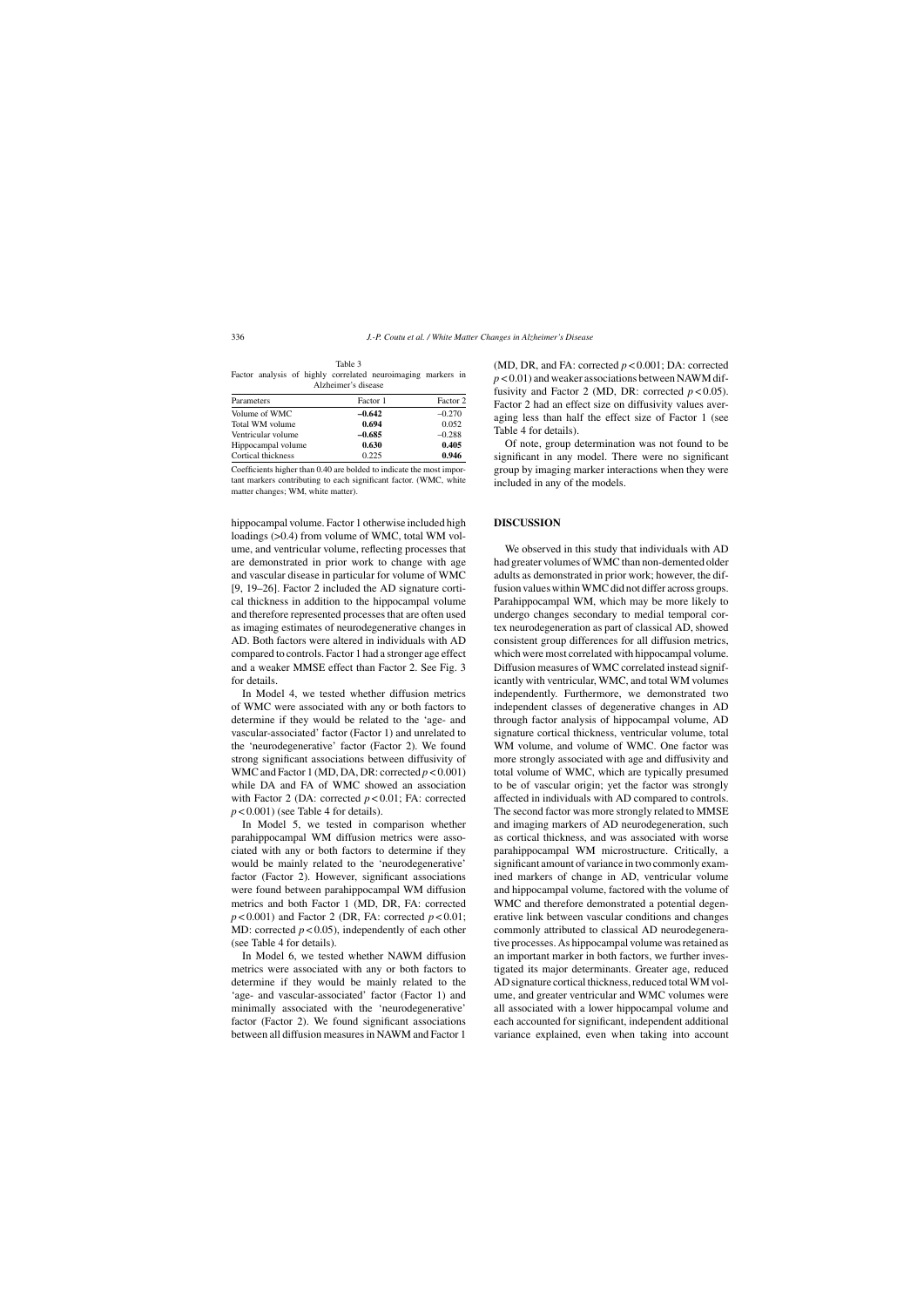|                     |  |  |  | Table 3 |                                                              |  |  |
|---------------------|--|--|--|---------|--------------------------------------------------------------|--|--|
|                     |  |  |  |         | Factor analysis of highly correlated neuroimaging markers in |  |  |
| Alzheimer's disease |  |  |  |         |                                                              |  |  |

| Parameters         | Factor 1 | Factor 2 |
|--------------------|----------|----------|
| Volume of WMC      | $-0.642$ | $-0.270$ |
| Total WM volume    | 0.694    | 0.052    |
| Ventricular volume | $-0.685$ | $-0.288$ |
| Hippocampal volume | 0.630    | 0.405    |
| Cortical thickness | 0.225    | 0.946    |

Coefficients higher than 0.40 are bolded to indicate the most important markers contributing to each significant factor. (WMC, white matter changes; WM, white matter).

hippocampal volume. Factor 1 otherwise included high loadings ( $>0.4$ ) from volume of WMC, total WM volume, and ventricular volume, reflecting processes that are demonstrated in prior work to change with age and vascular disease in particular for volume of WMC [9, 19–26]. Factor 2 included the AD signature cortical thickness in addition to the hippocampal volume and therefore represented processes that are often used as imaging estimates of neurodegenerative changes in AD. Both factors were altered in individuals with AD compared to controls. Factor 1 had a stronger age effect and a weaker MMSE effect than Factor 2. See Fig. 3 for details.

In Model 4, we tested whether diffusion metrics of WMC were associated with any or both factors to determine if they would be related to the 'age- and vascular-associated' factor (Factor 1) and unrelated to the 'neurodegenerative' factor (Factor 2). We found strong significant associations between diffusivity of WMC and Factor 1 (MD, DA, DR: corrected *p* < 0.001) while DA and FA of WMC showed an association with Factor 2 (DA: corrected *p* < 0.01; FA: corrected  $p < 0.001$ ) (see Table 4 for details).

In Model 5, we tested in comparison whether parahippocampal WM diffusion metrics were associated with any or both factors to determine if they would be mainly related to the 'neurodegenerative' factor (Factor 2). However, significant associations were found between parahippocampal WM diffusion metrics and both Factor 1 (MD, DR, FA: corrected *p* < 0.001) and Factor 2 (DR, FA: corrected *p* < 0.01; MD: corrected  $p < 0.05$ ), independently of each other (see Table 4 for details).

In Model 6, we tested whether NAWM diffusion metrics were associated with any or both factors to determine if they would be mainly related to the 'age- and vascular-associated' factor (Factor 1) and minimally associated with the 'neurodegenerative' factor (Factor 2). We found significant associations between all diffusion measures in NAWM and Factor 1

(MD, DR, and FA: corrected *p* < 0.001; DA: corrected *p* < 0.01) and weaker associations between NAWM diffusivity and Factor 2 (MD, DR: corrected  $p < 0.05$ ). Factor 2 had an effect size on diffusivity values averaging less than half the effect size of Factor 1 (see Table 4 for details).

Of note, group determination was not found to be significant in any model. There were no significant group by imaging marker interactions when they were included in any of the models.

### **DISCUSSION**

We observed in this study that individuals with AD had greater volumes of WMC than non-demented older adults as demonstrated in prior work; however, the diffusion values within WMC did not differ across groups. Parahippocampal WM, which may be more likely to undergo changes secondary to medial temporal cortex neurodegeneration as part of classical AD, showed consistent group differences for all diffusion metrics, which were most correlated with hippocampal volume. Diffusion measures of WMC correlated instead significantly with ventricular, WMC, and total WM volumes independently. Furthermore, we demonstrated two independent classes of degenerative changes in AD through factor analysis of hippocampal volume, AD signature cortical thickness, ventricular volume, total WM volume, and volume of WMC. One factor was more strongly associated with age and diffusivity and total volume of WMC, which are typically presumed to be of vascular origin; yet the factor was strongly affected in individuals with AD compared to controls. The second factor was more strongly related to MMSE and imaging markers of AD neurodegeneration, such as cortical thickness, and was associated with worse parahippocampal WM microstructure. Critically, a significant amount of variance in two commonly examined markers of change in AD, ventricular volume and hippocampal volume, factored with the volume of WMC and therefore demonstrated a potential degenerative link between vascular conditions and changes commonly attributed to classical AD neurodegenerative processes. As hippocampal volume was retained as an important marker in both factors, we further investigated its major determinants. Greater age, reduced AD signature cortical thickness, reduced total WM volume, and greater ventricular and WMC volumes were all associated with a lower hippocampal volume and each accounted for significant, independent additional variance explained, even when taking into account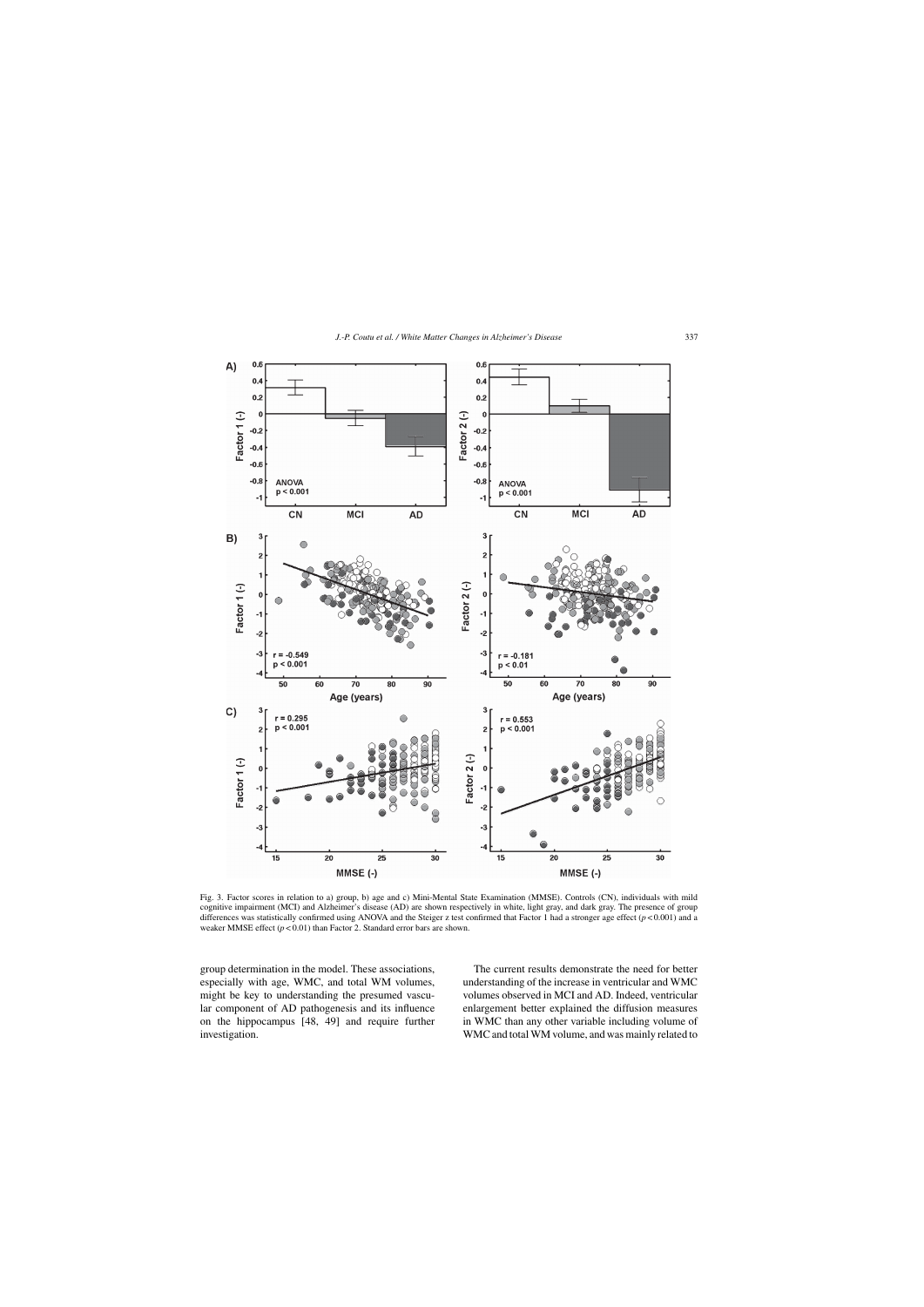

Fig. 3. Factor scores in relation to a) group, b) age and c) Mini-Mental State Examination (MMSE). Controls (CN), individuals with mild cognitive impairment (MCI) and Alzheimer's disease (AD) are shown respectively in white, light gray, and dark gray. The presence of group differences was statistically confirmed using ANOVA and the Steiger z test confirmed that Factor 1 had a stronger age effect (*p* < 0.001) and a weaker MMSE effect  $(p < 0.01)$  than Factor 2. Standard error bars are shown.

group determination in the model. These associations, especially with age, WMC, and total WM volumes, might be key to understanding the presumed vascular component of AD pathogenesis and its influence on the hippocampus [48, 49] and require further investigation.

The current results demonstrate the need for better understanding of the increase in ventricular and WMC volumes observed in MCI and AD. Indeed, ventricular enlargement better explained the diffusion measures in WMC than any other variable including volume of WMC and total WM volume, and was mainly related to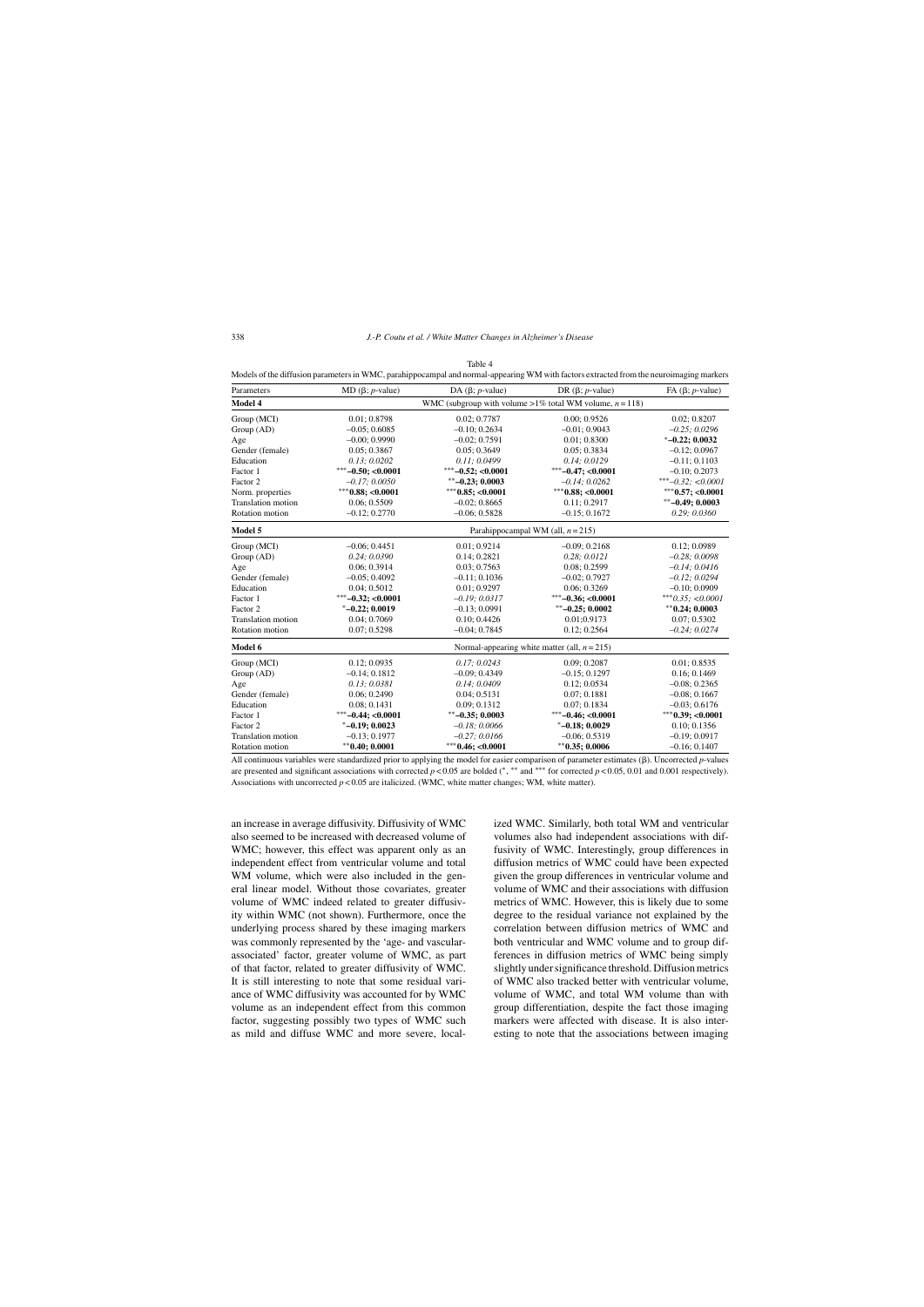| Parameters                | MD $(\beta; p-value)$                                      | DA $(\beta; p$ -value)  | DR $(\beta; p$ -value) | FA $(\beta; p$ -value)  |  |  |
|---------------------------|------------------------------------------------------------|-------------------------|------------------------|-------------------------|--|--|
| Model 4                   | WMC (subgroup with volume >1% total WM volume, $n = 118$ ) |                         |                        |                         |  |  |
| Group (MCI)               | 0.01; 0.8798                                               | 0.02; 0.7787            | 0.00; 0.9526           | 0.02; 0.8207            |  |  |
| Group (AD)                | $-0.05; 0.6085$                                            | $-0.10; 0.2634$         | $-0.01; 0.9043$        | $-0.25; 0.0296$         |  |  |
| Age                       | $-0.00; 0.9990$                                            | $-0.02; 0.7591$         | 0.01: 0.8300           | $*-0.22; 0.0032$        |  |  |
| Gender (female)           | 0.05; 0.3867                                               | 0.05: 0.3649            | 0.05: 0.3834           | $-0.12; 0.0967$         |  |  |
| Education                 | 0.13; 0.0202                                               | 0.11; 0.0499            | 0.14; 0.0129           | $-0.11; 0.1103$         |  |  |
| Factor 1                  | ***-0.50; <0.0001                                          | ***-0.52; <0.0001       | ***-0.47; <0.0001      | $-0.10; 0.2073$         |  |  |
| Factor 2                  | $-0.17; 0.0050$                                            | $*$ $-0.23; 0.0003$     | $-0.14; 0.0262$        | ***-0.32; <0.0001       |  |  |
| Norm. properties          | *** $0.88$ ; < $0.0001$                                    | *** 0.85; < 0.0001      | *** 0.88; < 0.0001     | *** $0.57$ ; <0.0001    |  |  |
| Translation motion        | 0.06; 0.5509                                               | $-0.02; 0.8665$         | 0.11; 0.2917           | $*$ -0.49; 0.0003       |  |  |
| Rotation motion           | $-0.12; 0.2770$                                            | $-0.06; 0.5828$         | $-0.15; 0.1672$        | 0.29; 0.0360            |  |  |
| Model 5                   | Parahippocampal WM (all, $n = 215$ )                       |                         |                        |                         |  |  |
| Group (MCI)               | $-0.06; 0.4451$                                            | 0.01; 0.9214            | $-0.09; 0.2168$        | 0.12; 0.0989            |  |  |
| Group (AD)                | 0.24; 0.0390                                               | 0.14; 0.2821            | 0.28; 0.0121           | $-0.28; 0.0098$         |  |  |
| Age                       | 0.06; 0.3914                                               | 0.03; 0.7563            | 0.08; 0.2599           | $-0.14; 0.0416$         |  |  |
| Gender (female)           | $-0.05; 0.4092$                                            | $-0.11; 0.1036$         | $-0.02; 0.7927$        | $-0.12; 0.0294$         |  |  |
| Education                 | 0.04; 0.5012                                               | 0.01; 0.9297            | 0.06; 0.3269           | $-0.10; 0.0909$         |  |  |
| Factor 1                  | *** $-0.32$ ; <0.0001                                      | $-0.19; 0.0317$         | ***-0.36; <0.0001      | ***0.35; <0.0001        |  |  |
| Factor 2                  | $*$ -0.22; 0.0019                                          | $-0.13; 0.0991$         | $*$ $-0.25; 0.0002$    | $*$ $0.24; 0.0003$      |  |  |
| <b>Translation</b> motion | 0.04; 0.7069                                               | 0.10; 0.4426            | 0.01;0.9173            | 0.07; 0.5302            |  |  |
| Rotation motion           | 0.07; 0.5298                                               | $-0.04; 0.7845$         | 0.12: 0.2564           | $-0.24; 0.0274$         |  |  |
| Model 6                   | Normal-appearing white matter (all, $n = 215$ )            |                         |                        |                         |  |  |
| Group (MCI)               | 0.12; 0.0935                                               | 0.17; 0.0243            | 0.09; 0.2087           | 0.01; 0.8535            |  |  |
| Group (AD)                | $-0.14; 0.1812$                                            | $-0.09; 0.4349$         | $-0.15; 0.1297$        | 0.16; 0.1469            |  |  |
| Age                       | 0.13; 0.0381                                               | 0.14; 0.0409            | 0.12; 0.0534           | $-0.08; 0.2365$         |  |  |
| Gender (female)           | 0.06; 0.2490                                               | 0.04; 0.5131            | 0.07; 0.1881           | $-0.08; 0.1667$         |  |  |
| Education                 | 0.08; 0.1431                                               | 0.09; 0.1312            | 0.07; 0.1834           | $-0.03; 0.6176$         |  |  |
| Factor 1                  | ***-0.44; <0.0001                                          | $*$ $-0.35; 0.0003$     | ***-0.46; <0.0001      | *** $0.39$ ; < $0.0001$ |  |  |
| Factor 2                  | $*$ -0.19; 0.0023                                          | $-0.18; 0.0066$         | $*$ -0.18; 0.0029      | 0.10; 0.1356            |  |  |
| <b>Translation</b> motion | $-0.13; 0.1977$                                            | $-0.27; 0.0166$         | $-0.06; 0.5319$        | $-0.19; 0.0917$         |  |  |
| Rotation motion           | $*$ $*$ 0.40; 0.0001                                       | *** $0.46$ ; < $0.0001$ | $*$ $*$ 0.35; 0.0006   | $-0.16; 0.1407$         |  |  |

Table 4 Models of the diffusion parameters in WMC, parahippocampal and normal-appearing WM with factors extracted from the neuroimaging markers

All continuous variables were standardized prior to applying the model for easier comparison of parameter estimates ( $\beta$ ). Uncorrected *p*-values are presented and significant associations with corrected *p* < 0.05 are bolded (∗, ∗∗ and ∗∗∗ for corrected *p* < 0.05, 0.01 and 0.001 respectively). Associations with uncorrected  $p < 0.05$  are italicized. (WMC, white matter changes; WM, white matter).

an increase in average diffusivity. Diffusivity of WMC also seemed to be increased with decreased volume of WMC; however, this effect was apparent only as an independent effect from ventricular volume and total WM volume, which were also included in the general linear model. Without those covariates, greater volume of WMC indeed related to greater diffusivity within WMC (not shown). Furthermore, once the underlying process shared by these imaging markers was commonly represented by the 'age- and vascularassociated' factor, greater volume of WMC, as part of that factor, related to greater diffusivity of WMC. It is still interesting to note that some residual variance of WMC diffusivity was accounted for by WMC volume as an independent effect from this common factor, suggesting possibly two types of WMC such as mild and diffuse WMC and more severe, localized WMC. Similarly, both total WM and ventricular volumes also had independent associations with diffusivity of WMC. Interestingly, group differences in diffusion metrics of WMC could have been expected given the group differences in ventricular volume and volume of WMC and their associations with diffusion metrics of WMC. However, this is likely due to some degree to the residual variance not explained by the correlation between diffusion metrics of WMC and both ventricular and WMC volume and to group differences in diffusion metrics of WMC being simply slightly under significance threshold. Diffusion metrics of WMC also tracked better with ventricular volume, volume of WMC, and total WM volume than with group differentiation, despite the fact those imaging markers were affected with disease. It is also interesting to note that the associations between imaging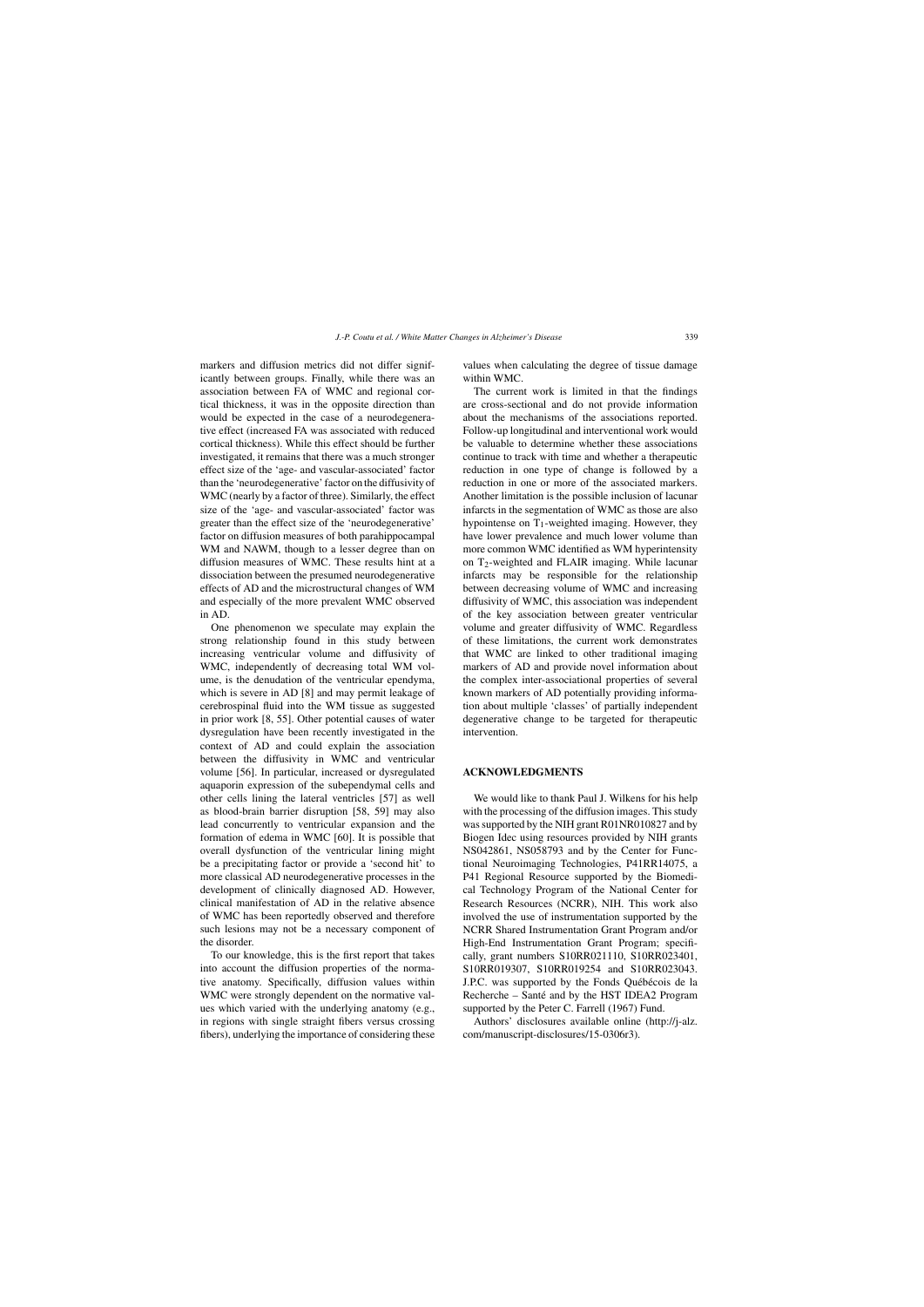markers and diffusion metrics did not differ significantly between groups. Finally, while there was an association between FA of WMC and regional cortical thickness, it was in the opposite direction than would be expected in the case of a neurodegenerative effect (increased FA was associated with reduced cortical thickness). While this effect should be further investigated, it remains that there was a much stronger effect size of the 'age- and vascular-associated' factor than the 'neurodegenerative' factor on the diffusivity of WMC (nearly by a factor of three). Similarly, the effect size of the 'age- and vascular-associated' factor was greater than the effect size of the 'neurodegenerative' factor on diffusion measures of both parahippocampal WM and NAWM, though to a lesser degree than on diffusion measures of WMC. These results hint at a dissociation between the presumed neurodegenerative effects of AD and the microstructural changes of WM and especially of the more prevalent WMC observed in AD.

One phenomenon we speculate may explain the strong relationship found in this study between increasing ventricular volume and diffusivity of WMC, independently of decreasing total WM volume, is the denudation of the ventricular ependyma, which is severe in AD [8] and may permit leakage of cerebrospinal fluid into the WM tissue as suggested in prior work [8, 55]. Other potential causes of water dysregulation have been recently investigated in the context of AD and could explain the association between the diffusivity in WMC and ventricular volume [56]. In particular, increased or dysregulated aquaporin expression of the subependymal cells and other cells lining the lateral ventricles [57] as well as blood-brain barrier disruption [58, 59] may also lead concurrently to ventricular expansion and the formation of edema in WMC [60]. It is possible that overall dysfunction of the ventricular lining might be a precipitating factor or provide a 'second hit' to more classical AD neurodegenerative processes in the development of clinically diagnosed AD. However, clinical manifestation of AD in the relative absence of WMC has been reportedly observed and therefore such lesions may not be a necessary component of the disorder.

To our knowledge, this is the first report that takes into account the diffusion properties of the normative anatomy. Specifically, diffusion values within WMC were strongly dependent on the normative values which varied with the underlying anatomy (e.g., in regions with single straight fibers versus crossing fibers), underlying the importance of considering these values when calculating the degree of tissue damage within WMC.

The current work is limited in that the findings are cross-sectional and do not provide information about the mechanisms of the associations reported. Follow-up longitudinal and interventional work would be valuable to determine whether these associations continue to track with time and whether a therapeutic reduction in one type of change is followed by a reduction in one or more of the associated markers. Another limitation is the possible inclusion of lacunar infarcts in the segmentation of WMC as those are also hypointense on  $T_1$ -weighted imaging. However, they have lower prevalence and much lower volume than more common WMC identified as WM hyperintensity on  $T_2$ -weighted and FLAIR imaging. While lacunar infarcts may be responsible for the relationship between decreasing volume of WMC and increasing diffusivity of WMC, this association was independent of the key association between greater ventricular volume and greater diffusivity of WMC. Regardless of these limitations, the current work demonstrates that WMC are linked to other traditional imaging markers of AD and provide novel information about the complex inter-associational properties of several known markers of AD potentially providing information about multiple 'classes' of partially independent degenerative change to be targeted for therapeutic intervention.

## **ACKNOWLEDGMENTS**

We would like to thank Paul J. Wilkens for his help with the processing of the diffusion images. This study was supported by the NIH grant R01NR010827 and by Biogen Idec using resources provided by NIH grants NS042861, NS058793 and by the Center for Functional Neuroimaging Technologies, P41RR14075, a P41 Regional Resource supported by the Biomedical Technology Program of the National Center for Research Resources (NCRR), NIH. This work also involved the use of instrumentation supported by the NCRR Shared Instrumentation Grant Program and/or High-End Instrumentation Grant Program; specifically, grant numbers S10RR021110, S10RR023401, S10RR019307, S10RR019254 and S10RR023043. J.P.C. was supported by the Fonds Québécois de la Recherche – Santé and by the HST IDEA2 Program supported by the Peter C. Farrell (1967) Fund.

Authors' disclosures available online [\(http://j-alz.](http://j-alz.com/manuscript-disclosures/15-0306r3) [com/manuscript-disclosures/15-0306r3](http://j-alz.com/manuscript-disclosures/15-0306r3)).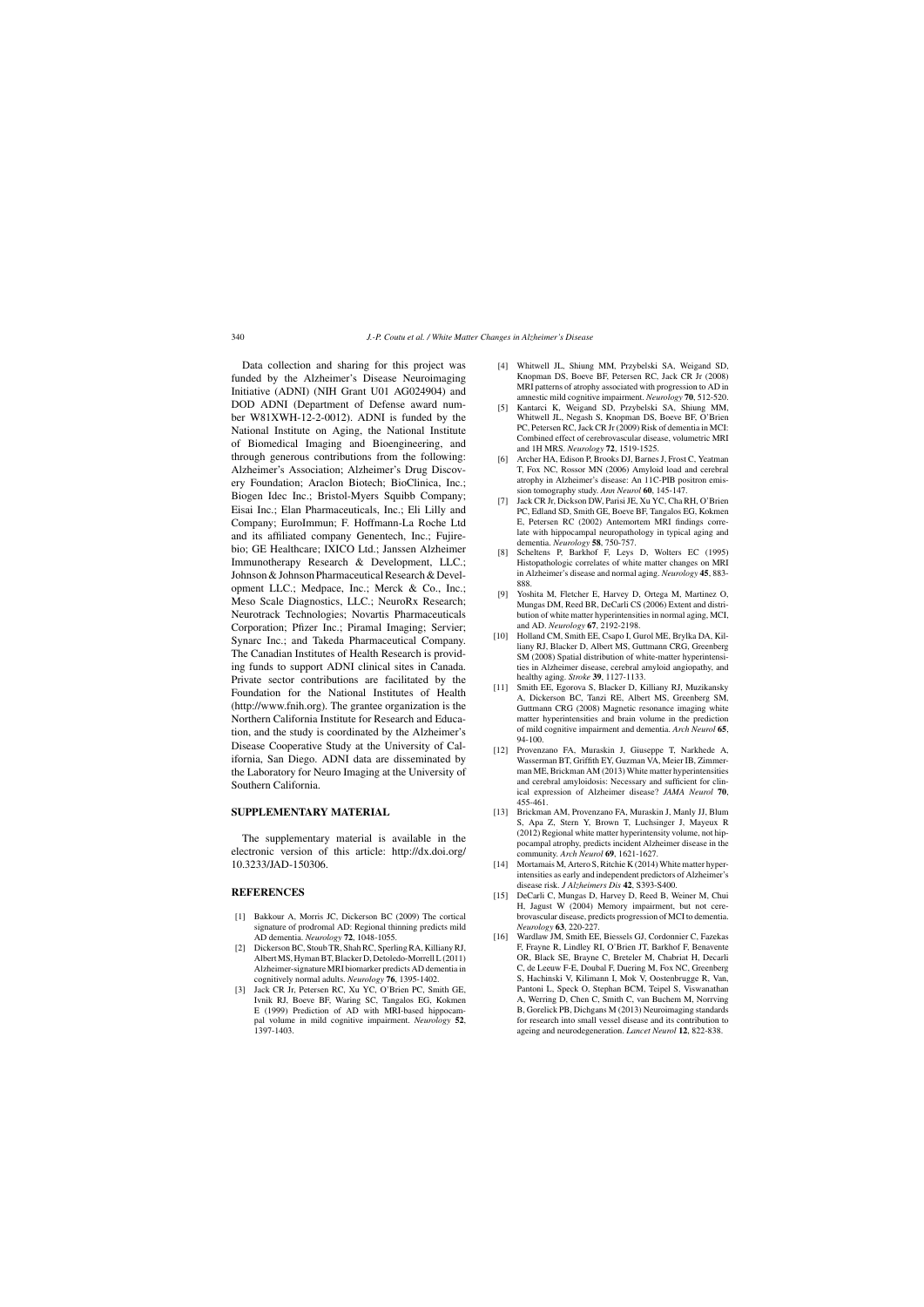Data collection and sharing for this project was funded by the Alzheimer's Disease Neuroimaging Initiative (ADNI) (NIH Grant U01 AG024904) and DOD ADNI (Department of Defense award number W81XWH-12-2-0012). ADNI is funded by the National Institute on Aging, the National Institute of Biomedical Imaging and Bioengineering, and through generous contributions from the following: Alzheimer's Association; Alzheimer's Drug Discovery Foundation; Araclon Biotech; BioClinica, Inc.; Biogen Idec Inc.; Bristol-Myers Squibb Company; Eisai Inc.; Elan Pharmaceuticals, Inc.; Eli Lilly and Company; EuroImmun; F. Hoffmann-La Roche Ltd and its affiliated company Genentech, Inc.; Fujirebio; GE Healthcare; IXICO Ltd.; Janssen Alzheimer Immunotherapy Research & Development, LLC.; Johnson & Johnson Pharmaceutical Research & Development LLC.; Medpace, Inc.; Merck & Co., Inc.; Meso Scale Diagnostics, LLC.; NeuroRx Research; Neurotrack Technologies; Novartis Pharmaceuticals Corporation; Pfizer Inc.; Piramal Imaging; Servier; Synarc Inc.; and Takeda Pharmaceutical Company. The Canadian Institutes of Health Research is providing funds to support ADNI clinical sites in Canada. Private sector contributions are facilitated by the Foundation for the National Institutes of Health [\(http://www.fnih.org](http://www.fnih.org)). The grantee organization is the Northern California Institute for Research and Education, and the study is coordinated by the Alzheimer's Disease Cooperative Study at the University of California, San Diego. ADNI data are disseminated by the Laboratory for Neuro Imaging at the University of Southern California.

# **SUPPLEMENTARY MATERIAL**

The supplementary material is available in the electronic version of this article: [http://dx.doi.org/](http://dx.doi.org/10.3233/JAD-150306) [10.3233/JAD-150306](http://dx.doi.org/10.3233/JAD-150306).

#### **REFERENCES**

- [1] Bakkour A, Morris JC, Dickerson BC (2009) The cortical signature of prodromal AD: Regional thinning predicts mild AD dementia. *Neurology* **72**, 1048-1055.
- [2] Dickerson BC, Stoub TR, Shah RC, Sperling RA, Killiany RJ, Albert MS, Hyman BT, Blacker D, Detoledo-Morrell L (2011) Alzheimer-signature MRI biomarker predicts AD dementia in cognitively normal adults. *Neurology* **76**, 1395-1402.
- [3] Jack CR Jr, Petersen RC, Xu YC, O'Brien PC, Smith GE, Ivnik RJ, Boeve BF, Waring SC, Tangalos EG, Kokmen E (1999) Prediction of AD with MRI-based hippocampal volume in mild cognitive impairment. *Neurology* **52**, 1397-1403.
- [4] Whitwell JL, Shiung MM, Przybelski SA, Weigand SD, Knopman DS, Boeve BF, Petersen RC, Jack CR Jr (2008) MRI patterns of atrophy associated with progression to AD in amnestic mild cognitive impairment. *Neurology* **70**, 512-520.
- Kantarci K, Weigand SD, Przybelski SA, Shiung MM, Whitwell JL, Negash S, Knopman DS, Boeve BF, O'Brien PC, Petersen RC, Jack CR Jr (2009) Risk of dementia in MCI: Combined effect of cerebrovascular disease, volumetric MRI and 1H MRS. *Neurology* **72**, 1519-1525.
- [6] Archer HA, Edison P, Brooks DJ, Barnes J, Frost C, Yeatman T, Fox NC, Rossor MN (2006) Amyloid load and cerebral atrophy in Alzheimer's disease: An 11C-PIB positron emission tomography study. *Ann Neurol* **60**, 145-147.
- [7] Jack CR Jr, Dickson DW, Parisi JE, Xu YC, Cha RH, O'Brien PC, Edland SD, Smith GE, Boeve BF, Tangalos EG, Kokmen E, Petersen RC (2002) Antemortem MRI findings correlate with hippocampal neuropathology in typical aging and dementia. *Neurology* **58**, 750-757.
- Scheltens P, Barkhof F, Leys D, Wolters EC (1995) Histopathologic correlates of white matter changes on MRI in Alzheimer's disease and normal aging. *Neurology* **45**, 883- 888.
- [9] Yoshita M, Fletcher E, Harvey D, Ortega M, Martinez O, Mungas DM, Reed BR, DeCarli CS (2006) Extent and distribution of white matter hyperintensities in normal aging, MCI, and AD. *Neurology* **67**, 2192-2198.
- [10] Holland CM, Smith EE, Csapo I, Gurol ME, Brylka DA, Killiany RJ, Blacker D, Albert MS, Guttmann CRG, Greenberg SM (2008) Spatial distribution of white-matter hyperintensities in Alzheimer disease, cerebral amyloid angiopathy, and healthy aging. *Stroke* **39**, 1127-1133.
- [11] Smith EE, Egorova S, Blacker D, Killiany RJ, Muzikansky A, Dickerson BC, Tanzi RE, Albert MS, Greenberg SM, Guttmann CRG (2008) Magnetic resonance imaging white matter hyperintensities and brain volume in the prediction of mild cognitive impairment and dementia. *Arch Neurol* **65**, 94-100.
- [12] Provenzano FA, Muraskin J, Giuseppe T, Narkhede A, Wasserman BT, Griffith EY, Guzman VA, Meier IB, Zimmerman ME, Brickman AM (2013) White matter hyperintensities and cerebral amyloidosis: Necessary and sufficient for clinical expression of Alzheimer disease? *JAMA Neurol* **70**, 455-461.
- [13] Brickman AM, Provenzano FA, Muraskin J, Manly JJ, Blum S, Apa Z, Stern Y, Brown T, Luchsinger J, Mayeux R (2012) Regional white matter hyperintensity volume, not hippocampal atrophy, predicts incident Alzheimer disease in the community. *Arch Neurol* **69**, 1621-1627.
- [14] Mortamais M, Artero S, Ritchie K (2014) White matter hyperintensities as early and independent predictors of Alzheimer's disease risk. *J Alzheimers Dis* **42**, S393-S400.
- [15] DeCarli C, Mungas D, Harvey D, Reed B, Weiner M, Chui H, Jagust W (2004) Memory impairment, but not cerebrovascular disease, predicts progression of MCI to dementia. *Neurology* **63**, 220-227.
- [16] Wardlaw JM, Smith EE, Biessels GJ, Cordonnier C, Fazekas F, Frayne R, Lindley RI, O'Brien JT, Barkhof F, Benavente OR, Black SE, Brayne C, Breteler M, Chabriat H, Decarli C, de Leeuw F-E, Doubal F, Duering M, Fox NC, Greenberg S, Hachinski V, Kilimann I, Mok V, Oostenbrugge R, Van, Pantoni L, Speck O, Stephan BCM, Teipel S, Viswanathan A, Werring D, Chen C, Smith C, van Buchem M, Norrving B, Gorelick PB, Dichgans M (2013) Neuroimaging standards for research into small vessel disease and its contribution to ageing and neurodegeneration. *Lancet Neurol* **12**, 822-838.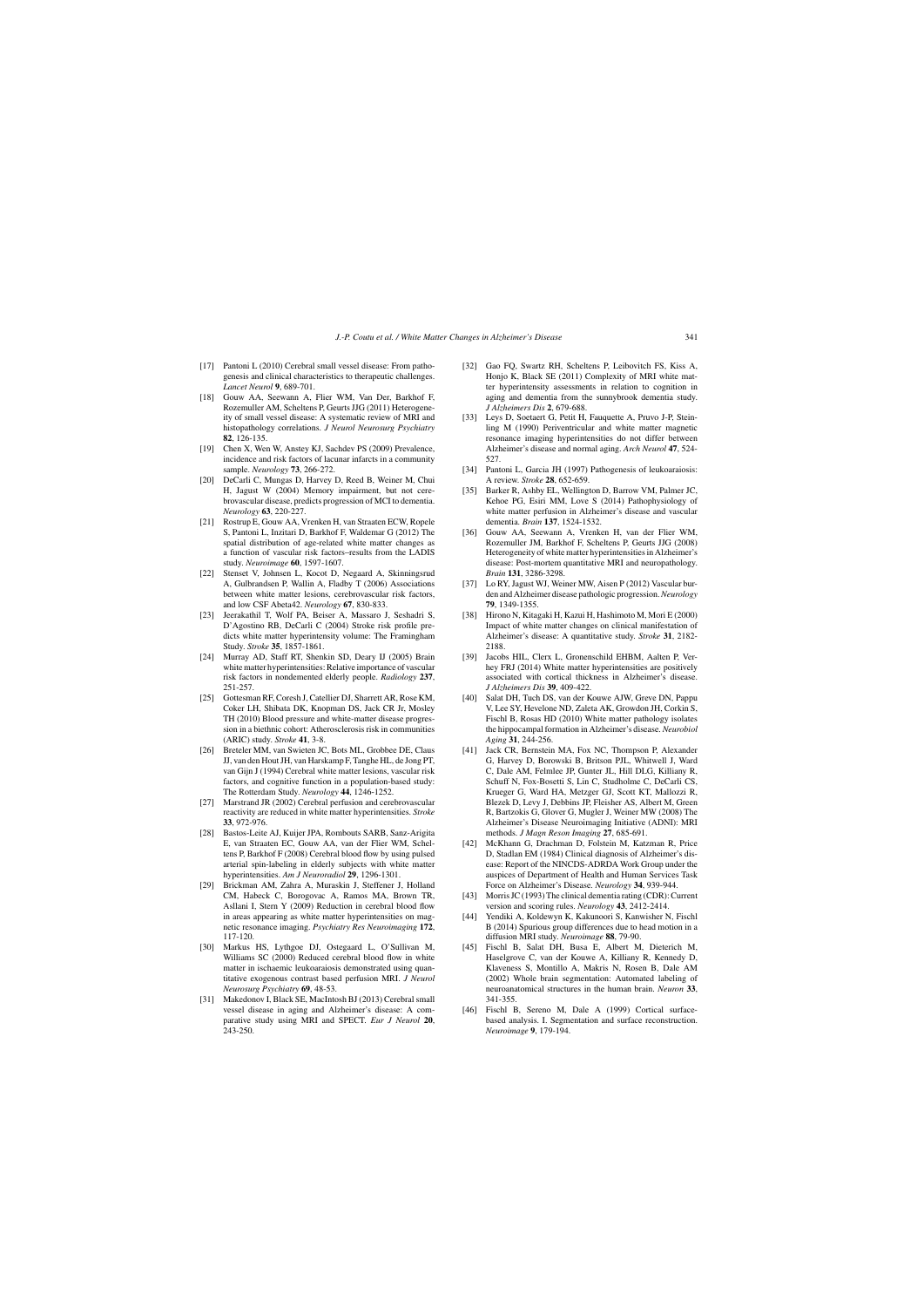- [17] Pantoni L (2010) Cerebral small vessel disease: From pathogenesis and clinical characteristics to therapeutic challenges. *Lancet Neurol* **9**, 689-701.
- [18] Gouw AA, Seewann A, Flier WM, Van Der, Barkhof F, Rozemuller AM, Scheltens P, Geurts JJG (2011) Heterogeneity of small vessel disease: A systematic review of MRI and histopathology correlations. *J Neurol Neurosurg Psychiatry* **82**, 126-135.
- [19] Chen X, Wen W, Anstey KJ, Sachdev PS (2009) Prevalence, incidence and risk factors of lacunar infarcts in a community sample. *Neurology* **73**, 266-272.
- [20] DeCarli C, Mungas D, Harvey D, Reed B, Weiner M, Chui H, Jagust W (2004) Memory impairment, but not cerebrovascular disease, predicts progression of MCI to dementia. *Neurology* **63**, 220-227.
- [21] Rostrup E, Gouw AA, Vrenken H, van Straaten ECW, Ropele S, Pantoni L, Inzitari D, Barkhof F, Waldemar G (2012) The spatial distribution of age-related white matter changes as a function of vascular risk factors–results from the LADIS study. *Neuroimage* **60**, 1597-1607.
- [22] Stenset V, Johnsen L, Kocot D, Negaard A, Skinningsrud A, Gulbrandsen P, Wallin A, Fladby T (2006) Associations between white matter lesions, cerebrovascular risk factors, and low CSF Abeta42. *Neurology* **67**, 830-833.
- [23] Jeerakathil T, Wolf PA, Beiser A, Massaro J, Seshadri S, D'Agostino RB, DeCarli C (2004) Stroke risk profile predicts white matter hyperintensity volume: The Framingham Study. *Stroke* **35**, 1857-1861.
- [24] Murray AD, Staff RT, Shenkin SD, Deary IJ (2005) Brain white matter hyperintensities: Relative importance of vascular risk factors in nondemented elderly people. *Radiology* **237**, 251-257.
- [25] Gottesman RF, Coresh J, Catellier DJ, Sharrett AR, Rose KM, Coker LH, Shibata DK, Knopman DS, Jack CR Jr, Mosley TH (2010) Blood pressure and white-matter disease progression in a biethnic cohort: Atherosclerosis risk in communities (ARIC) study. *Stroke* **41**, 3-8.
- [26] Breteler MM, van Swieten JC, Bots ML, Grobbee DE, Claus JJ, van den Hout JH, van Harskamp F, Tanghe HL, de Jong PT, van Gijn J (1994) Cerebral white matter lesions, vascular risk factors, and cognitive function in a population-based study: The Rotterdam Study. *Neurology* **44**, 1246-1252.
- [27] Marstrand JR (2002) Cerebral perfusion and cerebrovascular reactivity are reduced in white matter hyperintensities. *Stroke* **33**, 972-976.
- [28] Bastos-Leite AJ, Kuijer JPA, Rombouts SARB, Sanz-Arigita E, van Straaten EC, Gouw AA, van der Flier WM, Scheltens P, Barkhof F (2008) Cerebral blood flow by using pulsed arterial spin-labeling in elderly subjects with white matter hyperintensities. *Am J Neuroradiol* **29**, 1296-1301.
- [29] Brickman AM, Zahra A, Muraskin J, Steffener J, Holland CM, Habeck C, Borogovac A, Ramos MA, Brown TR, Asllani I, Stern Y (2009) Reduction in cerebral blood flow in areas appearing as white matter hyperintensities on magnetic resonance imaging. *Psychiatry Res Neuroimaging* **172**, 117-120.
- [30] Markus HS, Lythgoe DJ, Ostegaard L, O'Sullivan M, Williams SC (2000) Reduced cerebral blood flow in white matter in ischaemic leukoaraiosis demonstrated using quantitative exogenous contrast based perfusion MRI. *J Neurol Neurosurg Psychiatry* **69**, 48-53.
- [31] Makedonov I, Black SE, MacIntosh BJ (2013) Cerebral small vessel disease in aging and Alzheimer's disease: A comparative study using MRI and SPECT. *Eur J Neurol* **20**, 243-250.
- [32] Gao FQ, Swartz RH, Scheltens P, Leibovitch FS, Kiss A, Honjo K, Black SE (2011) Complexity of MRI white matter hyperintensity assessments in relation to cognition in aging and dementia from the sunnybrook dementia study. *J Alzheimers Dis* **2**, 679-688.
- [33] Leys D, Soetaert G, Petit H, Fauquette A, Pruvo J-P, Steinling M (1990) Periventricular and white matter magnetic resonance imaging hyperintensities do not differ between Alzheimer's disease and normal aging. *Arch Neurol* **47**, 524- 527.
- [34] Pantoni L, Garcia JH (1997) Pathogenesis of leukoaraiosis: A review. *Stroke* **28**, 652-659.
- [35] Barker R, Ashby EL, Wellington D, Barrow VM, Palmer JC, Kehoe PG, Esiri MM, Love S (2014) Pathophysiology of white matter perfusion in Alzheimer's disease and vascular dementia. *Brain* **137**, 1524-1532.
- [36] Gouw AA, Seewann A, Vrenken H, van der Flier WM, Rozemuller JM, Barkhof F, Scheltens P, Geurts JJG (2008) Heterogeneity of white matter hyperintensities in Alzheimer's disease: Post-mortem quantitative MRI and neuropathology. *Brain* **131**, 3286-3298.
- [37] Lo RY, Jagust WJ, Weiner MW, Aisen P (2012) Vascular burden and Alzheimer disease pathologic progression.*Neurology* **79**, 1349-1355.
- [38] Hirono N, Kitagaki H, Kazui H, Hashimoto M, Mori E (2000) Impact of white matter changes on clinical manifestation of Alzheimer's disease: A quantitative study. *Stroke* **31**, 2182- 2188.
- [39] Jacobs HIL, Clerx L, Gronenschild EHBM, Aalten P, Verhey FRJ (2014) White matter hyperintensities are positively associated with cortical thickness in Alzheimer's disease. *J Alzheimers Dis* **39**, 409-422.
- [40] Salat DH, Tuch DS, van der Kouwe AJW, Greve DN, Pappu V, Lee SY, Hevelone ND, Zaleta AK, Growdon JH, Corkin S, Fischl B, Rosas HD (2010) White matter pathology isolates the hippocampal formation in Alzheimer's disease. *Neurobiol Aging* **31**, 244-256.
- [41] Jack CR, Bernstein MA, Fox NC, Thompson P, Alexander G, Harvey D, Borowski B, Britson PJL, Whitwell J, Ward C, Dale AM, Felmlee JP, Gunter JL, Hill DLG, Killiany R, Schuff N, Fox-Bosetti S, Lin C, Studholme C, DeCarli CS, Krueger G, Ward HA, Metzger GJ, Scott KT, Mallozzi R, Blezek D, Levy J, Debbins JP, Fleisher AS, Albert M, Green R, Bartzokis G, Glover G, Mugler J, Weiner MW (2008) The Alzheimer's Disease Neuroimaging Initiative (ADNI): MRI methods. *J Magn Reson Imaging* **27**, 685-691.
- [42] McKhann G, Drachman D, Folstein M, Katzman R, Price D, Stadlan EM (1984) Clinical diagnosis of Alzheimer's disease: Report of the NINCDS-ADRDA Work Group under the auspices of Department of Health and Human Services Task Force on Alzheimer's Disease. *Neurology* **34**, 939-944.
- [43] Morris JC (1993) The clinical dementia rating (CDR): Current version and scoring rules. *Neurology* **43**, 2412-2414.
- [44] Yendiki A, Koldewyn K, Kakunoori S, Kanwisher N, Fischl B (2014) Spurious group differences due to head motion in a diffusion MRI study. *Neuroimage* **88**, 79-90.
- [45] Fischl B, Salat DH, Busa E, Albert M, Dieterich M, Haselgrove C, van der Kouwe A, Killiany R, Kennedy D, Klaveness S, Montillo A, Makris N, Rosen B, Dale AM (2002) Whole brain segmentation: Automated labeling of neuroanatomical structures in the human brain. *Neuron* **33**, 341-355.
- [46] Fischl B, Sereno M, Dale A (1999) Cortical surfacebased analysis. I. Segmentation and surface reconstruction. *Neuroimage* **9**, 179-194.